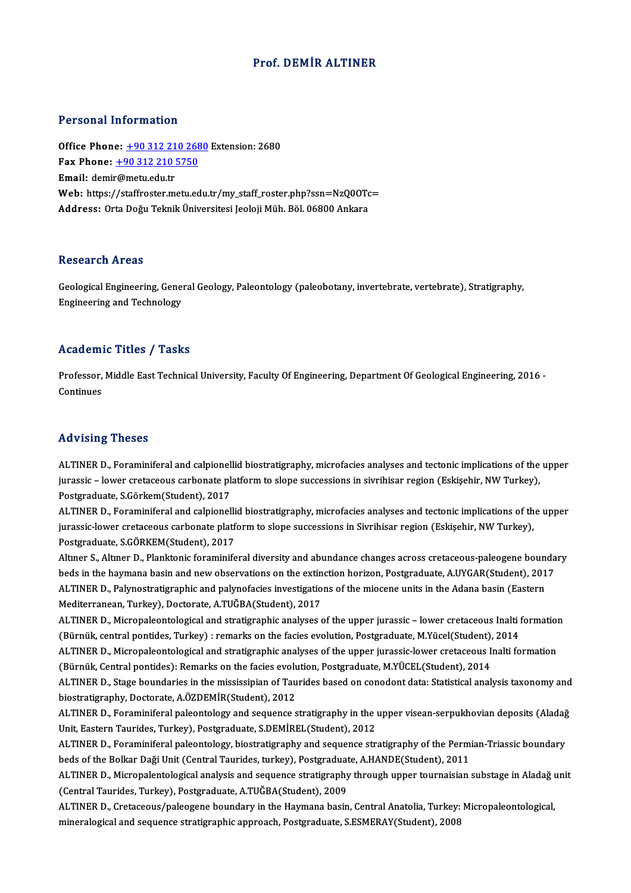### Prof. DEMİR ALTINER

#### Personal Information

**Personal Information<br>Office Phone: <u>+90 312 210 2680</u> Extension: 2680**<br>Fax Phone: 190 312 210 5750 Fax Phone: <u>+90 312 210 268</u><br>Fax Phone: <u>+90 312 210 268</u><br>Fmail: demir@metu.edu.tr Office Phone: <u>+90 312 21</u><br>Fax Phone: <u>+90 312 210 !</u><br>Email: demi[r@metu.edu.tr](tel:+90 312 210 5750) Fax Phone: <u>+90 312 210 5750</u><br>Email: demir@metu.edu.tr<br>Web: https://staffroster.metu.edu.tr/my\_staff\_roster.php?ssn=NzQ0OTc=<br>Address: Orte Doğu Telmik Üniversitesi Josleji Müh. Böl 06900 Ankara Email: demir@metu.edu.tr<br>Web: https://staffroster.metu.edu.tr/my\_staff\_roster.php?ssn=NzQ0OTc<br>Address: Orta Doğu Teknik Üniversitesi Jeoloji Müh. Böl. 06800 Ankara

#### **Research Areas**

Research Areas<br>Geological Engineering, General Geology, Paleontology (paleobotany, invertebrate, vertebrate), Stratigraphy,<br>Engineering and Technology Rebeut en 111 eus<br>Geological Engineering, Gene<br>Engineering and Technology

# Engineering and Technology<br>Academic Titles / Tasks

Academic Titles / Tasks<br>Professor, Middle East Technical University, Faculty Of Engineering, Department Of Geological Engineering, 2016 -<br>Continues Professor,<br>Continues Advising Theses

Advising Theses<br>ALTINER D., Foraminiferal and calpionellid biostratigraphy, microfacies analyses and tectonic implications of the upper<br>iuressis a lower erstasseur sarbonate platform to clone sussessions in siuribiser regi flure form<sub>is –</sub> finance<br>ALTINER D., Foraminiferal and calpionellid biostratigraphy, microfacies analyses and tectonic implications of the<br>Jurassic – lower cretaceous carbonate platform to slope successions in sivrihisar r ALTINER D., Foraminiferal and calpionell<br>jurassic – lower cretaceous carbonate pl.<br>Postgraduate, S.Görkem(Student), 2017<br>ALTINER D. Foraminiforal and calpionell jurassic – lower cretaceous carbonate platform to slope successions in sivrihisar region (Eskişehir, NW Turkey),<br>Postgraduate, S.Görkem(Student), 2017<br>ALTINER D., Foraminiferal and calpionellid biostratigraphy, microfacies

Postgraduate, S.Görkem(Student), 2017<br>ALTINER D., Foraminiferal and calpionellid biostratigraphy, microfacies analyses and tectonic implications of th<br>jurassic-lower cretaceous carbonate platform to slope successions in Si ALTINER D., Foraminiferal and calpionelli<br>jurassic-lower cretaceous carbonate platf<br>Postgraduate, S.GÖRKEM(Student), 2017<br>Altner S. Altner D. Planktonis foraminife jurassic-lower cretaceous carbonate platform to slope successions in Sivrihisar region (Eskişehir, NW Turkey),<br>Postgraduate, S.GÖRKEM(Student), 2017<br>Altıner S., Altıner D., Planktonic foraminiferal diversity and abundance

Postgraduate, S.GÖRKEM(Student), 2017<br>Altıner S., Altıner D., Planktonic foraminiferal diversity and abundance changes across cretaceous-paleogene bounda<br>beds in the haymana basin and new observations on the extinction hor Altmer S., Altmer D., Planktonic foraminiferal diversity and abundance changes across cretaceous-paleogene boun<br>beds in the haymana basin and new observations on the extinction horizon, Postgraduate, A.UYGAR(Student), 201<br> beds in the haymana basin and new observations on the extin<br>ALTINER D., Palynostratigraphic and palynofacies investigatio<br>Mediterranean, Turkey), Doctorate, A.TUĞBA(Student), 2017<br>ALTINER D. Misropoleontologisel and strati ALTINER D., Palynostratigraphic and palynofacies investigations of the miocene units in the Adana basin (Eastern<br>Mediterranean, Turkey), Doctorate, A.TUĞBA(Student), 2017<br>ALTINER D., Micropaleontological and stratigraphic

Mediterranean, Turkey), Doctorate, A.TUĞBA(Student), 2017<br>ALTINER D., Micropaleontological and stratigraphic analyses of the upper jurassic – lower cretaceous Inalti f<br>(Bürnük, central pontides, Turkey) : remarks on the fa ALTINER D., Micropaleontological and stratigraphic analyses of the upper jurassic – lower cretaceous Inalti formation<br>(Bürnük, central pontides, Turkey) : remarks on the facies evolution, Postgraduate, M.Yücel(Student), 20 (Bürnük, central pontides, Turkey) : remarks on the facies evolution, Postgraduate, M.Yücel(Student), 2014<br>ALTINER D., Micropaleontological and stratigraphic analyses of the upper jurassic-lower cretaceous Inalti formation

ALTINER D., Stage boundaries in the mississipian of Taurides based on conodont data: Statistical analysis taxonomy and biostratigraphy, Doctorate, A.ÖZDEMİR(Student), 2012 ALTINER D., Stage boundaries in the mississipian of Taurides based on conodont data: Statistical analysis taxonomy and<br>biostratigraphy, Doctorate, A.ÖZDEMİR(Student), 2012<br>ALTINER D., Foraminiferal paleontology and sequenc

biostratigraphy, Doctorate, A.ÖZDEMİR(Student), 2012<br>ALTINER D., Foraminiferal paleontology and sequence stratigraphy in the l<br>Unit, Eastern Taurides, Turkey), Postgraduate, S.DEMİREL(Student), 2012<br>ALTINER D., Foraminifor ALTINER D., Foraminiferal paleontology and sequence stratigraphy in the upper visean-serpukhovian deposits (Aladağ<br>Unit, Eastern Taurides, Turkey), Postgraduate, S.DEMİREL(Student), 2012<br>ALTINER D., Foraminiferal paleontol

Unit, Eastern Taurides, Turkey), Postgraduate, S.DEMİREL(Student), 2012<br>ALTINER D., Foraminiferal paleontology, biostratigraphy and sequence stratigraphy of the Perm<br>beds of the Bolkar Daği Unit (Central Taurides, turkey), ALTINER D., Foraminiferal paleontology, biostratigraphy and sequence stratigraphy of the Permian-Triassic boundary<br>beds of the Bolkar Daği Unit (Central Taurides, turkey), Postgraduate, A.HANDE(Student), 2011<br>ALTINER D., M

beds of the Bolkar Daği Unit (Central Taurides, turkey), Postgraduat<br>ALTINER D., Micropalentological analysis and sequence stratigraphy<br>(Central Taurides, Turkey), Postgraduate, A.TUĞBA(Student), 2009<br>ALTINER D., Cratagoou ALTINER D., Micropalentological analysis and sequence stratigraphy through upper tournaisian substage in Aladağ<br>(Central Taurides, Turkey), Postgraduate, A.TUĞBA(Student), 2009<br>ALTINER D., Cretaceous/paleogene boundary in

(Central Taurides, Turkey), Postgraduate, A.TUĞBA(Student), 2009<br>ALTINER D., Cretaceous/paleogene boundary in the Haymana basin, Central Anatolia, Turkey: Micropaleontological,<br>mineralogical and sequence stratigraphic appr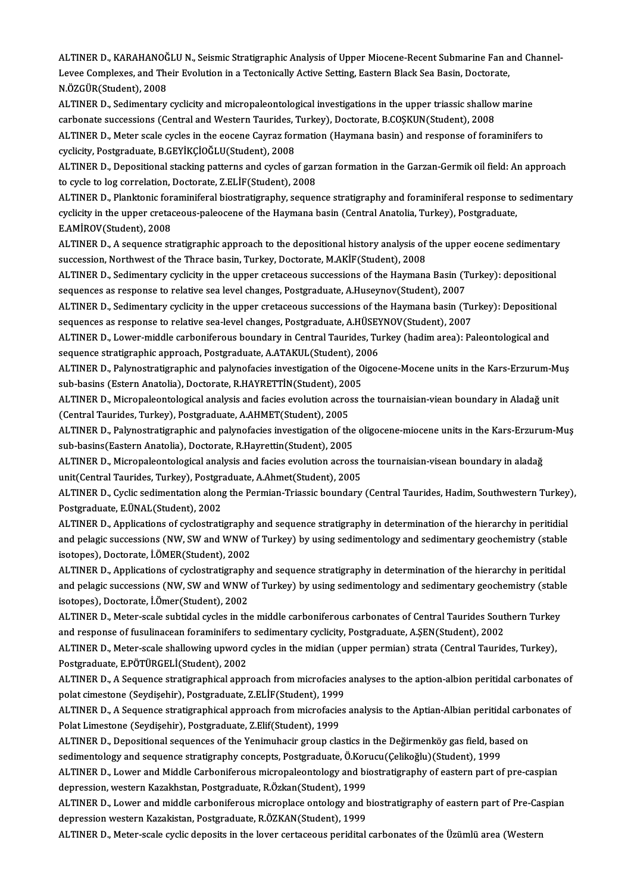ALTINER D., KARAHANOĞLU N., Seismic Stratigraphic Analysis of Upper Miocene-Recent Submarine Fan and Channel-<br>Lavas Camplayes, and Their Evolution in a Testenically Astive Setting, Festern Plack See Besin, Destants. ALTINER D., KARAHANOĞLU N., Seismic Stratigraphic Analysis of Upper Miocene-Recent Submarine Fan a<br>Levee Complexes, and Their Evolution in a Tectonically Active Setting, Eastern Black Sea Basin, Doctorate,<br>N.ÖZCÜR(Student) ALTINER D., KARAHANOĞ<br>Levee Complexes, and The<br>N.ÖZGÜR(Student), 2008<br>ALTINER D. Sedimentery Levee Complexes, and Their Evolution in a Tectonically Active Setting, Eastern Black Sea Basin, Doctorate,<br>N.ÖZGÜR(Student), 2008<br>ALTINER D., Sedimentary cyclicity and micropaleontological investigations in the upper trias

N.ÖZGÜR(Student), 2008<br>ALTINER D., Sedimentary cyclicity and micropaleontological investigations in the upper triassic shallow<br>carbonate successions (Central and Western Taurides, Turkey), Doctorate, B.COŞKUN(Student), 200 carbonate successions (Central and Western Taurides, Turkey), Doctorate, B.COŞKUN(Student), 2008

ALTINER D., Meter scale cycles in the eocene Cayraz formation (Haymana basin) and response of foraminifers to<br>cyclicity, Postgraduate, B.GEYİKÇİOĞLU(Student), 2008 ALTINER D., Meter scale cycles in the eocene Cayraz formation (Haymana basin) and response of foraminifers to<br>cyclicity, Postgraduate, B.GEYİKÇİOĞLU(Student), 2008<br>ALTINER D., Depositional stacking patterns and cycles of g

cyclicity, Postgraduate, B.GEYİKÇİOĞLU(Student), 2008<br>ALTINER D., Depositional stacking patterns and cycles of gar:<br>to cycle to log correlation, Doctorate, Z.ELİF(Student), 2008<br>ALTINER D. Planktonis foraminiforal biostrat ALTINER D., Depositional stacking patterns and cycles of garzan formation in the Garzan-Germik oil field: An approach<br>to cycle to log correlation, Doctorate, Z.ELİF(Student), 2008<br>ALTINER D., Planktonic foraminiferal biost

to cycle to log correlation, Doctorate, Z.ELİF(Student), 2008<br>ALTINER D., Planktonic foraminiferal biostratigraphy, sequence stratigraphy and foraminiferal response to<br>cyclicity in the upper cretaceous-paleocene of the Hay ALTINER D., Planktonic for<br>cyclicity in the upper creta<br>E.AMİROV(Student), 2008<br>ALTINER D. A sequence st cyclicity in the upper cretaceous-paleocene of the Haymana basin (Central Anatolia, Turkey), Postgraduate,<br>E.AMİROV(Student), 2008<br>ALTINER D., A sequence stratigraphic approach to the depositional history analysis of the u

E.AMİROV(Student), 2008<br>ALTINER D., A sequence stratigraphic approach to the depositional history analysis of<br>succession, Northwest of the Thrace basin, Turkey, Doctorate, M.AKİF(Student), 2008 ALTINER D., A sequence stratigraphic approach to the depositional history analysis of the upper eocene sedimentary<br>succession, Northwest of the Thrace basin, Turkey, Doctorate, M.AKİF(Student), 2008<br>ALTINER D., Sedimentary

succession, Northwest of the Thrace basin, Turkey, Doctorate, M.AKİF(Student), 2008<br>ALTINER D., Sedimentary cyclicity in the upper cretaceous successions of the Haymana Basin (T<br>sequences as response to relative sea level ALTINER D., Sedimentary cyclicity in the upper cretaceous successions of the Haymana Basin (Turkey): depositional<br>sequences as response to relative sea level changes, Postgraduate, A.Huseynov(Student), 2007<br>ALTINER D., Sed

sequences as response to relative sea level changes, Postgraduate, A.Huseynov(Student), 2007<br>ALTINER D., Sedimentary cyclicity in the upper cretaceous successions of the Haymana basin (Turkey): Depositional<br>sequences as re ALTINER D., Sedimentary cyclicity in the upper cretaceous successions of the Haymana basin (Turkey): Depositiona<br>sequences as response to relative sea-level changes, Postgraduate, A.HÜSEYNOV(Student), 2007<br>ALTINER D., Lowe

sequences as response to relative sea-level changes, Postgraduate, A.HÜSEY<br>ALTINER D., Lower-middle carboniferous boundary in Central Taurides, Tu<br>sequence stratigraphic approach, Postgraduate, A.ATAKUL(Student), 2006<br>ALTI ALTINER D., Lower-middle carboniferous boundary in Central Taurides, Turkey (hadim area): Paleontological and<br>sequence stratigraphic approach, Postgraduate, A.ATAKUL(Student), 2006<br>ALTINER D., Palynostratigraphic and palyn

sequence stratigraphic approach, Postgraduate, A.ATAKUL(Student), 2006<br>ALTINER D., Palynostratigraphic and palynofacies investigation of the Oigocene-Mocene units in the Kars-Erzurum-Muş<br>sub-basins (Estern Anatolia), Docto ALTINER D., Palynostratigraphic and palynofacies investigation of the Oigocene-Mocene units in the Kars-Erzurum-Mi<br>sub-basins (Estern Anatolia), Doctorate, R.HAYRETTİN(Student), 2005<br>ALTINER D., Micropaleontological analys

sub-basins (Estern Anatolia), Doctorate, R.HAYRETTİN(Student), 200<br>ALTINER D., Micropaleontological analysis and facies evolution acros<br>(Central Taurides, Turkey), Postgraduate, A.AHMET(Student), 2005<br>ALTINER D. Polypostra ALTINER D., Micropaleontological analysis and facies evolution across the tournaisian-viean boundary in Aladağ unit<br>(Central Taurides, Turkey), Postgraduate, A.AHMET(Student), 2005<br>ALTINER D., Palynostratigraphic and palyn

(Central Taurides, Turkey), Postgraduate, A.AHMET(Student), 2005<br>ALTINER D., Palynostratigraphic and palynofacies investigation of the<br>sub-basins(Eastern Anatolia), Doctorate, R.Hayrettin(Student), 2005<br>ALTINER D. Micropel ALTINER D., Palynostratigraphic and palynofacies investigation of the oligocene-miocene units in the Kars-Erzuru<br>sub-basins(Eastern Anatolia), Doctorate, R.Hayrettin(Student), 2005<br>ALTINER D., Micropaleontological analysis

sub-basins(Eastern Anatolia), Doctorate, R.Hayrettin(Student), 2005<br>ALTINER D., Micropaleontological analysis and facies evolution across the tournaisian-visean boundary in aladağ<br>unit(Central Taurides, Turkey), Postgradua ALTINER D., Micropaleontological analysis and facies evolution across the tournaisian-visean boundary in aladağ<br>unit(Central Taurides, Turkey), Postgraduate, A.Ahmet(Student), 2005<br>ALTINER D., Cyclic sedimentation along th

unit(Central Taurides, Turkey), Postgra<br>ALTINER D., Cyclic sedimentation along<br>Postgraduate, E.ÜNAL(Student), 2002<br>ALTINER D. Applications of gyclostrati ALTINER D., Cyclic sedimentation along the Permian-Triassic boundary (Central Taurides, Hadim, Southwestern Turkey<br>Postgraduate, E.ÜNAL(Student), 2002<br>ALTINER D., Applications of cyclostratigraphy and sequence stratigraphy

Postgraduate, E.ÜNAL(Student), 2002<br>ALTINER D., Applications of cyclostratigraphy and sequence stratigraphy in determination of the hierarchy in peritidial<br>and pelagic successions (NW, SW and WNW of Turkey) by using sedime ALTINER D., Applications of cyclostratigraphy<br>and pelagic successions (NW, SW and WNW of<br>isotopes), Doctorate, İ.ÖMER(Student), 2002<br>ALTINER D. Applications of syslostratisyanhy and pelagic successions (NW, SW and WNW of Turkey) by using sedimentology and sedimentary geochemistry (stable<br>isotopes), Doctorate, İ.ÖMER(Student), 2002<br>ALTINER D., Applications of cyclostratigraphy and sequence stratigr

isotopes), Doctorate, İ.ÖMER(Student), 2002<br>ALTINER D., Applications of cyclostratigraphy and sequence stratigraphy in determination of the hierarchy in peritidal<br>and pelagic successions (NW, SW and WNW of Turkey) by using ALTINER D., Applications of cyclostratigraphy and sequence stratigraphy in determination of the hierarchy in peritidal<br>and pelagic successions (NW, SW and WNW of Turkey) by using sedimentology and sedimentary geochemistry and pelagic successions (NW, SW and WNW of Turkey) by using sedimentology and sedimentary geochemistry (stabl<br>isotopes), Doctorate, İ.Ömer(Student), 2002<br>ALTINER D., Meter-scale subtidal cycles in the middle carboniferous

isotopes), Doctorate, İ.Ömer(Student), 2002<br>ALTINER D., Meter-scale subtidal cycles in the middle carboniferous carbonates of Central Taurides Sout<br>and response of fusulinacean foraminifers to sedimentary cyclicity, Postgr ALTINER D., Meter-scale subtidal cycles in the middle carboniferous carbonates of Central Taurides Southern Turkey and response of fusulinacean foraminifers to sedimentary cyclicity, Postgraduate, A.ŞEN(Student), 2002<br>ALTI

and response of fusulinacean foraminifers to<br>ALTINER D., Meter-scale shallowing upword<br>Postgraduate, E.PÖTÜRGELİ(Student), 2002<br>ALTINER D. A Sequence stratigraphical appr ALTINER D., Meter-scale shallowing upword cycles in the midian (upper permian) strata (Central Taurides, Turkey),<br>Postgraduate, E.PÖTÜRGELİ(Student), 2002<br>ALTINER D., A Sequence stratigraphical approach from microfacies an

Postgraduate, E.PÖTÜRGELİ(Student), 2002<br>ALTINER D., A Sequence stratigraphical approach from microfacies<br>polat cimestone (Seydişehir), Postgraduate, Z.ELİF(Student), 1999<br>ALTINER D. A Sequence stratigraphical approach fro ALTINER D., A Sequence stratigraphical approach from microfacies analyses to the aption-albion peritidal carbonates of<br>polat cimestone (Seydişehir), Postgraduate, Z.ELİF(Student), 1999<br>ALTINER D., A Sequence stratigraphica

polat cimestone (Seydişehir), Postgraduate, Z.ELİF(Student), 1999<br>ALTINER D., A Sequence stratigraphical approach from microfacies analysis to the Aptian-Albian peritidal carbonates of<br>Polat Limestone (Seydişehir), Postgra ALTINER D., A Sequence stratigraphical approach from microfacies analysis to the Aptian-Albian peritidal carb<br>Polat Limestone (Seydişehir), Postgraduate, Z.Elif(Student), 1999<br>ALTINER D., Depositional sequences of the Yeni

Polat Limestone (Seydişehir), Postgraduate, Z.Elif(Student), 1999<br>ALTINER D., Depositional sequences of the Yenimuhacir group clastics in the Değirmenköy gas field, bas<br>sedimentology and sequence stratigraphy concepts, Pos ALTINER D., Depositional sequences of the Yenimuhacir group clastics in the Değirmenköy gas field, based on<br>sedimentology and sequence stratigraphy concepts, Postgraduate, Ö.Korucu(Çelikoğlu)(Student), 1999<br>ALTINER D., Low

sedimentology and sequence stratigraphy concepts, Postgraduate, Ö.Korucu(Çelikoğlu)(Student), 1999<br>ALTINER D., Lower and Middle Carboniferous micropaleontology and biostratigraphy of eastern part of pre-caspian<br>depression, ALTINER D., Lower and Middle Carboniferous micropaleontology and biostratigraphy of eastern part of pre-caspian<br>depression, western Kazakhstan, Postgraduate, R.Özkan(Student), 1999<br>ALTINER D., Lower and middle carboniferou

depression, western Kazakhstan, Postgraduate, R.Özkan(Student), 1999<br>ALTINER D., Lower and middle carboniferous microplace ontology and<br>depression western Kazakistan, Postgraduate, R.ÖZKAN(Student), 1999

ALTINER D., Meter-scale cyclic deposits in the lover certaceous peridital carbonates of the Üzümlü area (Western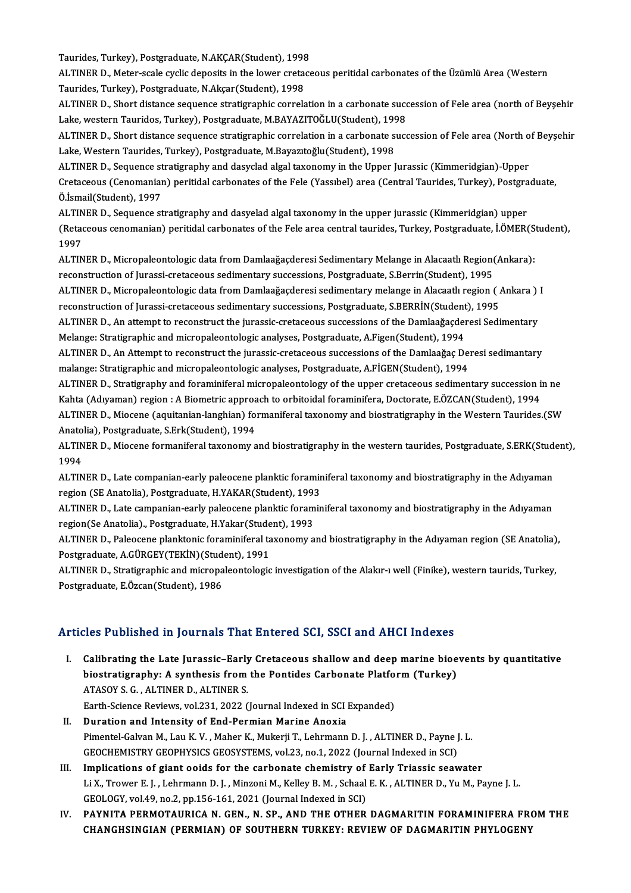Taurides, Turkey), Postgraduate, N.AKÇAR(Student), 1998<br>ALTINER D. Moter esale qualis denosits in the lewer enstage

ALTINER D., Meter-scale cyclic deposits in the lower cretaceous peritidal carbonates of the Üzümlü Area (Western<br>Taurides, Turkey), Postgraduate, N.Akcar(Student), 1998 Taurides, Turkey), Postgraduate, N.AKÇAR(Student), 1998<br>ALTINER D., Meter-scale cyclic deposits in the lower creta<br>Taurides, Turkey), Postgraduate, N.Akçar(Student), 1998<br>ALTINER D., Short distance acquence stratisraphic s ALTINER D., Meter-scale cyclic deposits in the lower cretaceous peritidal carbonates of the Üzümlü Area (Western<br>Taurides, Turkey), Postgraduate, N.Akçar(Student), 1998<br>ALTINER D., Short distance sequence stratigraphic cor

Taurides, Turkey), Postgraduate, N.Akçar(Student), 1998<br>ALTINER D., Short distance sequence stratigraphic correlation in a carbonate succ<br>Lake, western Tauridos, Turkey), Postgraduate, M.BAYAZITOĞLU(Student), 1998<br>ALTINER ALTINER D., Short distance sequence stratigraphic correlation in a carbonate succession of Fele area (north of Beyşehir<br>Lake, western Tauridos, Turkey), Postgraduate, M.BAYAZITOĞLU(Student), 1998<br>ALTINER D., Short distance

Lake, western Tauridos, Turkey), Postgraduate, M.BAYAZITOĞLU(Student), 1998<br>ALTINER D., Short distance sequence stratigraphic correlation in a carbonate suc<br>Lake, Western Taurides, Turkey), Postgraduate, M.Bayazıtoğlu(Stud ALTINER D., Short distance sequence stratigraphic correlation in a carbonate succession of Fele area (North o<br>Lake, Western Taurides, Turkey), Postgraduate, M.Bayazıtoğlu(Student), 1998<br>ALTINER D., Sequence stratigraphy an

Cretaceous (Cenomanian) peritidal carbonates of the Fele (Yassibel) area (Central Taurides, Turkey), Postgraduate, Ö.<br>Ö.İsmail(Student), 1997 ALTINER D., Sequence stratigraphy and dasyclad algal taxonomy in the Upper Jurassic (Kimmeridgian)-Upper Cretaceous (Cenomanian) peritidal carbonates of the Fele (Yassıbel) area (Central Taurides, Turkey), Postgra<br>Ö.İsmail(Student), 1997<br>ALTINER D., Sequence stratigraphy and dasyelad algal taxonomy in the upper jurassic (Kimm

(Retaceous cenomanian) peritidal carbonates of the Fele area central taurides, Turkey, Postgraduate, İ.ÖMER(Student),<br>1997 ALTIN<br>(Retad<br>1997<br>ALTIN (Retaceous cenomanian) peritidal carbonates of the Fele area central taurides, Turkey, Postgraduate, İ.ÖMER(S<br>1997<br>ALTINER D., Micropaleontologic data from Damlaağaçderesi Sedimentary Melange in Alacaatlı Region(Ankara):<br>r

1997<br>ALTINER D., Micropaleontologic data from Damlaağaçderesi Sedimentary Melange in Alacaatlı Region(<br>reconstruction of Jurassi-cretaceous sedimentary successions, Postgraduate, S.Berrin(Student), 1995<br>ALTINER D. Micropal ALTINER D., Micropaleontologic data from Damlaağaçderesi Sedimentary Melange in Alacaatlı Region(Ankara):<br>reconstruction of Jurassi-cretaceous sedimentary successions, Postgraduate, S.Berrin(Student), 1995<br>ALTINER D., Micr

reconstruction of Jurassi-cretaceous sedimentary successions, Postgraduate, S.Berrin(Student), 1995<br>ALTINER D., Micropaleontologic data from Damlaağaçderesi sedimentary melange in Alacaatlı region ( *i*<br>reconstruction of J ALTINER D., Micropaleontologic data from Damlaağaçderesi sedimentary melange in Alacaatlı region ( Ankara )<br>reconstruction of Jurassi-cretaceous sedimentary successions, Postgraduate, S.BERRİN(Student), 1995<br>ALTINER D., An

reconstruction of Jurassi-cretaceous sedimentary successions, Postgraduate, S.BERRİN(Student<br>ALTINER D., An attempt to reconstruct the jurassic-cretaceous successions of the Damlaağaçden<br>Melange: Stratigraphic and micropal ALTINER D., An attempt to reconstruct the jurassic-cretaceous successions of the Damlaağaçderesi Sedimentary<br>Melange: Stratigraphic and micropaleontologic analyses, Postgraduate, A.Figen(Student), 1994<br>ALTINER D., An Attem

Melange: Stratigraphic and micropaleontologic analyses, Postgraduate, A.Figen(Student), 1994<br>ALTINER D., An Attempt to reconstruct the jurassic-cretaceous successions of the Damlaağaç De<br>malange: Stratigraphic and micropal ALTINER D., An Attempt to reconstruct the jurassic-cretaceous successions of the Damlaağaç Deresi sedimantary<br>malange: Stratigraphic and micropaleontologic analyses, Postgraduate, A.FİGEN(Student), 1994<br>ALTINER D., Stratig

malange: Stratigraphic and micropaleontologic analyses, Postgraduate, A.FİGEN(Student), 1994<br>ALTINER D., Stratigraphy and foraminiferal micropaleontology of the upper cretaceous sedimentary succession i<br>Kahta (Adıyaman) re ALTINER D., Stratigraphy and foraminiferal micropaleontology of the upper cretaceous sedimentary succession in ne<br>Kahta (Adıyaman) region : A Biometric approach to orbitoidal foraminifera, Doctorate, E.ÖZCAN(Student), 1994

Kahta (Adıyaman) region : A Biometric appro<mark>a</mark><br>ALTINER D., Miocene (aquitanian-langhian) fo<br>Anatolia), Postgraduate, S.Erk(Student), 1994<br>ALTINER D. Miosene formaniforal tavonomu a ALTINER D., Miocene (aquitanian-langhian) formaniferal taxonomy and biostratigraphy in the Western Taurides.(SW<br>Anatolia), Postgraduate, S.Erk(Student), 1994<br>ALTINER D., Miocene formaniferal taxonomy and biostratigraphy in

Anato<br>ALTIN<br>1994<br>ALTIN ALTINER D., Miocene formaniferal taxonomy and biostratigraphy in the western taurides, Postgraduate, S.ERK(Stud<br>1994<br>ALTINER D., Late companian-early paleocene planktic foraminiferal taxonomy and biostratigraphy in the Adı

1994<br>ALTINER D., Late companian-early paleocene planktic foramir<br>region (SE Anatolia), Postgraduate, H.YAKAR(Student), 1993<br>ALTINER D. Late companien early paleocene planktic foramir ALTINER D., Late companian-early paleocene planktic foraminiferal taxonomy and biostratigraphy in the Adıyaman<br>region (SE Anatolia), Postgraduate, H.YAKAR(Student), 1993<br>ALTINER D., Late campanian-early paleocene planktic

region (SE Anatolia), Postgraduate, H.YAKAR(Student), 1993<br>ALTINER D., Late campanian-early paleocene planktic foraminiferal taxonomy and biostratigraphy in the Adıyaman<br>region(Se Anatolia)., Postgraduate, H.Yakar(Student) ALTINER D., Late campanian-early paleocene planktic foraminiferal taxonomy and biostratigraphy in the Adıyaman<br>region(Se Anatolia)., Postgraduate, H.Yakar(Student), 1993<br>ALTINER D., Paleocene planktonic foraminiferal taxon

region(Se Anatolia)., Postgraduate, H.Yakar(Stude<br>ALTINER D., Paleocene planktonic foraminiferal ta<br>Postgraduate, A.GÜRGEY(TEKİN)(Student), 1991<br>ALTINER D., Stratigraphic and migrapolaantelagie ALTINER D., Paleocene planktonic foraminiferal taxonomy and biostratigraphy in the Adıyaman region (SE Anatolia)<br>Postgraduate, A.GÜRGEY(TEKİN)(Student), 1991<br>ALTINER D., Stratigraphic and micropaleontologic investigation o

Postgraduate, A.GÜRGEY(TEKİN)(Student), 1991<br>ALTINER D., Stratigraphic and micropaleontologic investigation of the Alakır-ı well (Finike), western taurids, Turkey,<br>Postgraduate, E.Özcan(Student), 1986

### Articles Published in Journals That Entered SCI, SSCI and AHCI Indexes

- rticles Published in Journals That Entered SCI, SSCI and AHCI Indexes<br>I. Calibrating the Late Jurassic–Early Cretaceous shallow and deep marine bioevents by quantitative<br>hiostratigraphy: A synthosis from the Pontides Carbo biostrating the Late Jurassic-Early Cretaceous shallow and deep marine bioe<br>biostratigraphy: A synthesis from the Pontides Carbonate Platform (Turkey) biostratigraphy: A synthesis from the Pontides Carbonate Platform (Turkey) ATASOY S. G., ALTINER D., ALTINER S. biostratigraphy: A synthesis from the Pontides Carbonate Platfo:<br>ATASOY S. G. , ALTINER D., ALTINER S.<br>Earth-Science Reviews, vol.231, 2022 (Journal Indexed in SCI Expanded)<br>Duration and Intensity of End Bormian Marine Ane
- ATASOY S. G., ALTINER D., ALTINER S.<br>Earth-Science Reviews, vol.231, 2022 (Journal Indexed in SCI)<br>II. Duration and Intensity of End-Permian Marine Anoxia<br>Bimontel Colvan M. Lau K. V., Mahar K. Mukarii T. Lohrmann Earth-Science Reviews, vol.231, 2022 (Journal Indexed in SCI Expanded)<br>Duration and Intensity of End-Permian Marine Anoxia<br>Pimentel-Galvan M., Lau K. V. , Maher K., Mukerji T., Lehrmann D. J. , ALTINER D., Payne J. L.<br>CEOC Duration and Intensity of End-Permian Marine Anoxia<br>Pimentel-Galvan M., Lau K. V. , Maher K., Mukerji T., Lehrmann D. J. , ALTINER D., Payne J<br>GEOCHEMISTRY GEOPHYSICS GEOSYSTEMS, vol.23, no.1, 2022 (Journal Indexed in SCI) Pimentel-Galvan M., Lau K. V., Maher K., Mukerji T., Lehrmann D. J., ALTINER D., Payne J. L.<br>GEOCHEMISTRY GEOPHYSICS GEOSYSTEMS, vol.23, no.1, 2022 (Journal Indexed in SCI)<br>III. Implications of giant ooids for the carbonat
- GEOCHEMISTRY GEOPHYSICS GEOSYSTEMS, vol.23, no.1, 2022 (Journal Indexed in SCI)<br>Implications of giant ooids for the carbonate chemistry of Early Triassic seawater<br>Li X., Trower E. J. , Lehrmann D. J. , Minzoni M., Kelley B Implications of giant ooids for the carbonate chemistry of<br>Li X., Trower E. J. , Lehrmann D. J. , Minzoni M., Kelley B. M. , Schaal<br>GEOLOGY, vol.49, no.2, pp.156-161, 2021 (Journal Indexed in SCI)<br>PAXNITA PERMOTAURICA N. C Li X., Trower E. J. , Lehrmann D. J. , Minzoni M., Kelley B. M. , Schaal E. K. , ALTINER D., Yu M., Payne J. L.<br>GEOLOGY, vol.49, no.2, pp.156-161, 2021 (Journal Indexed in SCI)<br>IV. PAYNITA PERMOTAURICA N. GEN., N. SP., AND
- GEOLOGY, vol.49, no.2, pp.156-161, 2021 (Journal Indexed in SCI)<br>PAYNITA PERMOTAURICA N. GEN., N. SP., AND THE OTHER DAGMARITIN FORAMINIFERA FR(<br>CHANGHSINGIAN (PERMIAN) OF SOUTHERN TURKEY: REVIEW OF DAGMARITIN PHYLOGENY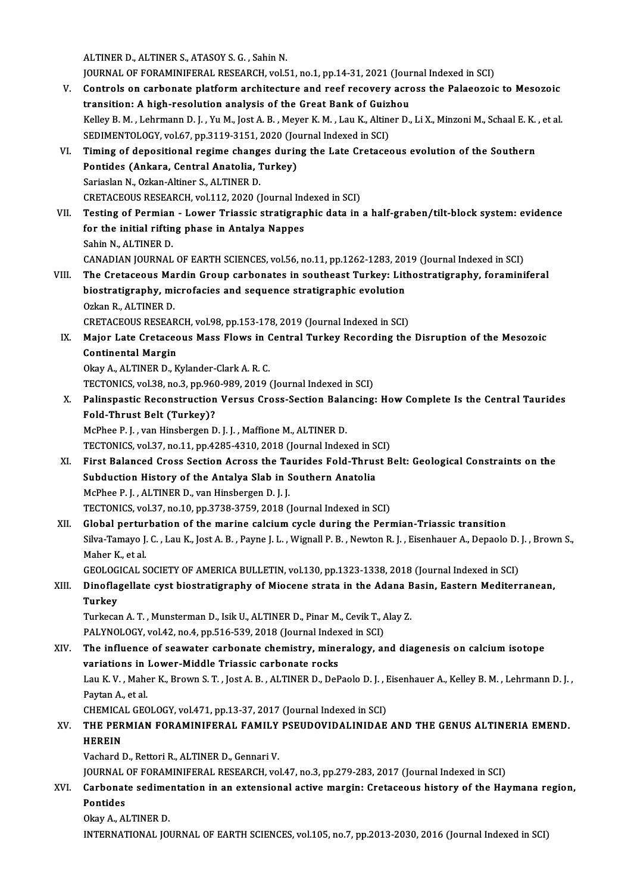ALTINER D., ALTINER S., ATASOY S. G., Sahin N.

ALTINER D., ALTINER S., ATASOY S. G. , Sahin N.<br>JOURNAL OF FORAMINIFERAL RESEARCH, vol.51, no.1, pp.14-31, 2021 (Journal Indexed in SCI)<br>Controls on sarbonate platform arabitecture and neef resevery agness the Palaeoreis

- ALTINER D., ALTINER S., ATASOY S. G. , Sahin N.<br>JOURNAL OF FORAMINIFERAL RESEARCH, vol.51, no.1, pp.14-31, 2021 (Journal Indexed in SCI)<br>V. Controls on carbonate platform architecture and reef recovery across the Palaeozoi JOURNAL OF FORAMINIFERAL RESEARCH, vol.51, no.1, pp.14-31, 2021 (Journ Controls on carbonate platform architecture and reef recovery acro<br>transition: A high-resolution analysis of the Great Bank of Guizhou<br>Kelley B.M., Joh Controls on carbonate platform architecture and reef recovery across the Palaeozoic to Mesozoic<br>transition: A high-resolution analysis of the Great Bank of Guizhou<br>Kelley B. M. , Lehrmann D. J. , Yu M., Jost A. B. , Meyer transition: A high-resolution analysis of the Great Bank of Guizhou<br>Kelley B. M. , Lehrmann D. J. , Yu M., Jost A. B. , Meyer K. M. , Lau K., Altiner D., Li X., Minzoni M., Schaal E. K. , et al.<br>SEDIMENTOLOGY, vol.67, pp.3 Kelley B. M. , Lehrmann D. J. , Yu M., Jost A. B. , Meyer K. M. , Lau K., Altiner D., Li X., Minzoni M., Schaal E. K.<br>SEDIMENTOLOGY, vol.67, pp.3119-3151, 2020 (Journal Indexed in SCI)<br>VI. Timing of depositional regime cha
- SEDIMENTOLOGY, vol.67, pp.3119-3151, 2020 (Journing of depositional regime changes durinentides (Ankara, Central Anatolia, Turkey) Timing of depositional regime chang<br>Pontides (Ankara, Central Anatolia, 1<br>Sariaslan N., Ozkan-Altiner S., ALTINER D.<br>CPETACEOUS PESEARCH vol 112, 2020 (1 Pontides (Ankara, Central Anatolia, Turkey)<br>Sariaslan N., Ozkan-Altiner S., ALTINER D.<br>CRETACEOUS RESEARCH, vol.112, 2020 (Journal Indexed in SCI)<br>Testing of Bormian – Lower Triassic stratigraphic data in Sariaslan N., Ozkan-Altiner S., ALTINER D.<br>CRETACEOUS RESEARCH, vol.112, 2020 (Journal Indexed in SCI)<br>VII. Testing of Permian - Lower Triassic stratigraphic data in a half-graben/tilt-block system: evidence<br>for the in
- CRETACEOUS RESEARCH, vol.112, 2020 (Journal Inc<br>Testing of Permian Lower Triassic stratigrap<br>for the initial rifting phase in Antalya Nappes<br>Sebin N. ALTINER D **Testing of Permian<br>for the initial riftin<br>Sahin N., ALTINER D.<br>CANADIAN JOUPMAL** for the initial rifting phase in Antalya Nappes<br>Sahin N., ALTINER D.<br>CANADIAN JOURNAL OF EARTH SCIENCES, vol.56, no.11, pp.1262-1283, 2019 (Journal Indexed in SCI)<br>The Cratageous Mardin Croup sarbonates in southeast Turkey Sahin N., ALTINER D.<br>CANADIAN JOURNAL OF EARTH SCIENCES, vol.56, no.11, pp.1262-1283, 2019 (Journal Indexed in SCI)<br>VIII. The Cretaceous Mardin Group carbonates in southeast Turkey: Lithostratigraphy, foraminiferal<br>his
- CANADIAN JOURNAL OF EARTH SCIENCES, vol.56, no.11, pp.1262-1283, 201<br>The Cretaceous Mardin Group carbonates in southeast Turkey: Litl<br>biostratigraphy, microfacies and sequence stratigraphic evolution<br>Orkan B. ALTINER D The Cretaceous Ma<br>biostratigraphy, mi<br>Ozkan R., ALTINER D.<br>CRETACEOUS BESEAR biostratigraphy, microfacies and sequence stratigraphic evolution<br>Ozkan R., ALTINER D.<br>CRETACEOUS RESEARCH, vol.98, pp.153-178, 2019 (Journal Indexed in SCI)

- Ozkan R., ALTINER D.<br>CRETACEOUS RESEARCH, vol.98, pp.153-178, 2019 (Journal Indexed in SCI)<br>IX. Major Late Cretaceous Mass Flows in Central Turkey Recording the Disruption of the Mesozoic<br>Continental Mergin CRETACEOUS RESEAR<br>Major Late Cretaced<br>Continental Margin<br>Olay A ALTINER D. K Major Late Cretaceous Mass Flows in C<br>Continental Margin<br>Okay A., ALTINER D., Kylander-Clark A. R. C.<br>TECTONICS Vel 39, no 3, np 960,999,2019 (
	- Continental Margin<br>Okay A., ALTINER D., Kylander-Clark A. R. C.<br>TECTONICS, vol.38, no.3, pp.960-989, 2019 (Journal Indexed in SCI)
- Okay A., ALTINER D., Kylander-Clark A. R. C.<br>TECTONICS, vol.38, no.3, pp.960-989, 2019 (Journal Indexed in SCI)<br>X. Palinspastic Reconstruction Versus Cross-Section Balancing: How Complete Is the Central Taurides<br>Fold Thrus TECTONICS, vol.38, no.3, pp.96<br>Palinspastic Reconstruction<br>Fold-Thrust Belt (Turkey)?<br>Me<sup>phoo B.L.</sup> van Hinsbergen D Palinspastic Reconstruction Versus Cross-Section Bala<br>Fold-Thrust Belt (Turkey)?<br>McPhee P. J. , van Hinsbergen D. J. J. , Maffione M., ALTINER D.<br>TECTONICS vol 27, no 11, np 1295-4210-2018 (Journal Indov Fold-Thrust Belt (Turkey)?<br>McPhee P. J. , van Hinsbergen D. J. J. , Maffione M., ALTINER D.<br>TECTONICS, vol.37, no.11, pp.4285-4310, 2018 (Journal Indexed in SCI)<br>First Pelansed Cross Sestion Asrass the Tourides Fold Thrust

- McPhee P. J. , van Hinsbergen D. J. J. , Maffione M., ALTINER D.<br>TECTONICS, vol.37, no.11, pp.4285-4310, 2018 (Journal Indexed in SCI)<br>XI. First Balanced Cross Section Across the Taurides Fold-Thrust Belt: Geological Const TECTONICS, vol.37, no.11, pp.4285-4310, 2018 (Journal Indexed in S<br>First Balanced Cross Section Across the Taurides Fold-Thrus<br>Subduction History of the Antalya Slab in Southern Anatolia<br>Me<sup>phoc B J Al TINEB D, von Hinchor</sup> McPhee P. J., ALTINER D., van Hinsbergen D. J. J. TECTONICS, vol.37, no.10, pp.3738-3759, 2018 (Journal Indexed in SCI)
- XII. Global perturbation of the marine calcium cycle during the Permian-Triassic transition TECTONICS, vol.37, no.10, pp.3738-3759, 2018 (Journal Indexed in SCI)<br>Global perturbation of the marine calcium cycle during the Permian-Triassic transition<br>Silva-Tamayo J. C. , Lau K., Jost A. B. , Payne J. L. , Wignall P Global pertur<br>Silva-Tamayo J.<br>Maher K., et al.<br>CEOLOCICAL S Silva-Tamayo J. C. , Lau K., Jost A. B. , Payne J. L. , Wignall P. B. , Newton R. J. , Eisenhauer A., Depaolo D.<br>Maher K., et al.<br>GEOLOGICAL SOCIETY OF AMERICA BULLETIN, vol.130, pp.1323-1338, 2018 (Journal Indexed in SCI)

Maher K., et al.<br>GEOLOGICAL SOCIETY OF AMERICA BULLETIN, vol.130, pp.1323-1338, 2018 (Journal Indexed in SCI)<br>XIII. Dinoflagellate cyst biostratigraphy of Miocene strata in the Adana Basin, Eastern Mediterranean,<br>Turke GEOLOGICAL SOCIETY OF AMERICA BULLETIN, vol.130, pp.1323-1338, 2018 (Journal Indexed in SCI)<br>Dinoflagellate cyst biostratigraphy of Miocene strata in the Adana Basin, Eastern Mediteri<br>Turkey<br>Turkecan A. T., Munsterman D., Dinoflagellate cyst biostratigraphy of Miocene strata in the Adana B<br>Turkey<br>Turkecan A.T., Munsterman D., Isik U., ALTINER D., Pinar M., Cevik T., Alay Z.<br>BAJ YNOLOCY, VR142, no 4, np 516, 529, 2019 (Journal Indoved in SCI

Turkey<br>Turkecan A. T. , Munsterman D., Isik U., ALTINER D., Pinar M., Cevik T., *f*<br>PALYNOLOGY, vol.42, no.4, pp.516-539, 2018 (Journal Indexed in SCI)<br>The influence of sequator carbonate chemistry, mineralegy, ex

XIV. The influence of seawater carbonate chemistry, mineralogy, and diagenesis on calcium isotope<br>variations in Lower-Middle Triassic carbonate rocks PALYNOLOGY, vol.42, no.4, pp.516-539, 2018 (Journal Index<br>The influence of seawater carbonate chemistry, mine<br>variations in Lower-Middle Triassic carbonate rocks<br>Law K.V., Mabar K. Brown S.T., Lost A. B., ALTINER D. DoE The influence of seawater carbonate chemistry, mineralogy, and diagenesis on calcium isotope<br>variations in Lower-Middle Triassic carbonate rocks<br>Lau K.V., Maher K., Brown S. T. , Jost A. B. , ALTINER D., DePaolo D. J. , Ei **variations in Marka**<br>Lau K. V. , Mahe<br>Paytan A., et al.<br>CHEMICAL CEC Lau K. V. , Maher K., Brown S. T. , Jost A. B. , ALTINER D., DePaolo D. J. , I<br>Paytan A., et al.<br>CHEMICAL GEOLOGY, vol.471, pp.13-37, 2017 (Journal Indexed in SCI)<br>THE REPMIAN FORAMINIEERAL FAMILY RSEUDOVIDALINIDAE Paytan A., et al.<br>CHEMICAL GEOLOGY, vol.471, pp.13-37, 2017 (Journal Indexed in SCI)<br>XV. THE PERMIAN FORAMINIFERAL FAMILY PSEUDOVIDALINIDAE AND THE GENUS ALTINERIA EMEND.<br>UEREIN

# CHEMICA<br>THE PER<br>HEREIN<br>Vechard I THE PERMIAN FORAMINIFERAL FAMILY<br>HEREIN<br>Vachard D., Rettori R., ALTINER D., Gennari V.<br>JOUPMAL OF FORAMINIEERAL RESEARCH .vo HEREIN<br>Vachard D., Rettori R., ALTINER D., Gennari V.<br>JOURNAL OF FORAMINIFERAL RESEARCH, vol.47, no.3, pp.279-283, 2017 (Journal Indexed in SCI)<br>Carbonata aadimentation in an autonaional active mangin: Crotagoous bistory o

# Vachard D., Rettori R., ALTINER D., Gennari V.<br>JOURNAL OF FORAMINIFERAL RESEARCH, vol.47, no.3, pp.279-283, 2017 (Journal Indexed in SCI)<br>XVI. Carbonate sedimentation in an extensional active margin: Cretaceous history JOURNAL<br>Carbonat<br>Pontides<br>Olou A Al Carbonate sedime<br>Pontides<br>Okay A., ALTINER D.<br>INTERNATIONAL JOI

Pontides<br>Okay A., ALTINER D.<br>INTERNATIONAL JOURNAL OF EARTH SCIENCES, vol.105, no.7, pp.2013-2030, 2016 (Journal Indexed in SCI)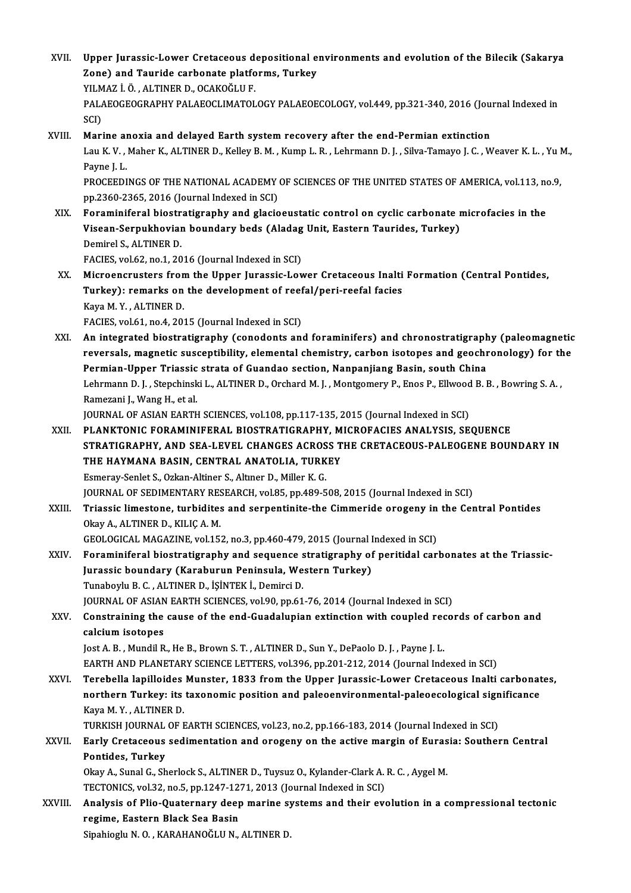- XVII. Upper Jurassic-Lower Cretaceous depositional environments and evolution of the Bilecik (Sakarya<br>Zone) and Teuride carbonate platforms. Turkey Upper Jurassic-Lower Cretaceous depositional e<br>Zone) and Tauride carbonate platforms, Turkey<br>YU MAZ LÖ - ALTINER D- OCAKOČLU E Upper Jurassic-Lower Cretaceous d<br>Zone) and Tauride carbonate platfo<br>YILMAZ İ. Ö. , ALTINER D., OCAKOĞLU F.<br>PALAEOGEOCRAPHY PALAEOGLIMATOL Zone) and Tauride carbonate platforms, Turkey<br>YILMAZ İ. Ö. , ALTINER D., OCAKOĞLU F.<br>PALAEOGEOGRAPHY PALAEOCLIMATOLOGY PALAEOECOLOGY, vol.449, pp.321-340, 2016 (Journal Indexed in<br>SCI) YILMAZ İ. Ö., ALTINER D., OCAKOĞLU F.
- XVIII. Marine anoxia and delayed Earth system recovery after the end-Permian extinction SCI)<br>Marine anoxia and delayed Earth system recovery after the end-Permian extinction<br>Lau K. V. , Maher K., ALTINER D., Kelley B. M. , Kump L. R. , Lehrmann D. J. , Silva-Tamayo J. C. , Weaver K. L. , Yu M., Marine al<br>Lau K. V. ,<br>Payne J. L.<br>PROCEEDI Lau K. V. , Maher K., ALTINER D., Kelley B. M. , Kump L. R. , Lehrmann D. J. , Silva-Tamayo J. C. , Weaver K. L. , Yu I<br>Payne J. L.<br>PROCEEDINGS OF THE NATIONAL ACADEMY OF SCIENCES OF THE UNITED STATES OF AMERICA, vol.113, Payne J. L.<br>PROCEEDINGS OF THE NATIONAL ACADEMY OF SCIENCES OF THE UNITED STATES OF AMERICA, vol.113, no.9,<br>pp.2360-2365, 2016 (Journal Indexed in SCI)

PROCEEDINGS OF THE NATIONAL ACADEMY OF SCIENCES OF THE UNITED STATES OF AMERICA, vol.113, no<br>pp.2360-2365, 2016 (Journal Indexed in SCI)<br>XIX. Foraminiferal biostratigraphy and glacioeustatic control on cyclic carbonate mic pp.2360-2365, 2016 (Journal Indexed in SCI)<br>Foraminiferal biostratigraphy and glacioeustatic control on cyclic carbonate r<br>Visean-Serpukhovian boundary beds (Aladag Unit, Eastern Taurides, Turkey)<br>Domirel S. ALTINER D Foraminiferal biostr<br>Visean-Serpukhoviar<br>Demirel S., ALTINER D.<br>FACIES vol 62, no 1, 20 Visean-Serpukhovian boundary beds (Aladag Unit, Eastern Taurides, Turkey)<br>Demirel S., ALTINER D.<br>FACIES, vol.62, no.1, 2016 (Journal Indexed in SCI) Demirel S., ALTINER D.<br>FACIES, vol.62, no.1, 2016 (Journal Indexed in SCI)<br>XX. Microencrusters from the Upper Jurassic-Lower Cretaceous Inalti Formation (Central Pontides,<br>Turkey): remarks on the development of reefol/peri

FACIES, vol.62, no.1, 2016 (Journal Indexed in SCI)<br>Microencrusters from the Upper Jurassic-Lower Cretaceous Inalti<br>Turkey): remarks on the development of reefal/peri-reefal facies<br>Kava M. V. ALTINER D Microencrusters from<br>Turkey): remarks on<br>Kaya M.Y., ALTINER D.<br>FACIES vol.61, no.4, 201 Turkey): remarks on the development of reefal/peri-reefal facies<br>Kaya M.Y., ALTINER D.<br>FACIES, vol.61, no.4, 2015 (Journal Indexed in SCI) Kaya M. Y., ALTINER D.<br>FACIES, vol.61, no.4, 2015 (Journal Indexed in SCI)<br>XXI. An integrated biostratigraphy (conodonts and foraminifers) and chronostratigraphy (paleomagnetic<br>reversels magnetic susceptibility element

FACIES, vol.61, no.4, 2015 (Journal Indexed in SCI)<br>An integrated biostratigraphy (conodonts and foraminifers) and chronostratigraphy (paleomagnetic<br>reversals, magnetic susceptibility, elemental chemistry, carbon isotopes An integrated biostratigraphy (conodonts and foraminifers) and chronostratigraph<br>reversals, magnetic susceptibility, elemental chemistry, carbon isotopes and geochr<br>Permian-Upper Triassic strata of Guandao section, Nanpanj reversals, magnetic susceptibility, elemental chemistry, carbon isotopes and geochronology) for the<br>Permian-Upper Triassic strata of Guandao section, Nanpanjiang Basin, south China<br>Lehrmann D. J., Stepchinski L., ALTINER D Ramezani J., Wang H., et al.

JOURNAL OF ASIAN EARTH SCIENCES, vol.108, pp.117-135, 2015 (Journal Indexed in SCI)

- XXII. PLANKTONIC FORAMINIFERAL BIOSTRATIGRAPHY, MICROFACIES ANALYSIS, SEQUENCE JOURNAL OF ASIAN EARTH SCIENCES, vol.108, pp.117-135, 2015 (Journal Indexed in SCI)<br>PLANKTONIC FORAMINIFERAL BIOSTRATIGRAPHY, MICROFACIES ANALYSIS, SEQUENCE<br>STRATIGRAPHY, AND SEA-LEVEL CHANGES ACROSS THE CRETACEOUS-PALEOGE PLANKTONIC FORAMINIFERAL BIOSTRATIGRAPHY, M<br>STRATIGRAPHY, AND SEA-LEVEL CHANGES ACROSS T<br>THE HAYMANA BASIN, CENTRAL ANATOLIA, TURKEY<br>Femeray Seplet S. Orkan Altiner S. Altner D. Miller K. C STRATIGRAPHY, AND SEA-LEVEL CHANGES ACROS<br>THE HAYMANA BASIN, CENTRAL ANATOLIA, TURK<br>Esmeray-Senlet S., Ozkan-Altiner S., Altıner D., Miller K. G.<br>JOUPMAL OF SEDIMENTARY RESEARCH .val 95. pp.490.5 THE HAYMANA BASIN, CENTRAL ANATOLIA, TURKEY<br>Esmeray-Senlet S., Ozkan-Altiner S., Altıner D., Miller K. G.<br>JOURNAL OF SEDIMENTARY RESEARCH, vol.85, pp.489-508, 2015 (Journal Indexed in SCI)<br>Triassia limestana, turbiditas an
- Esmeray-Senlet S., Ozkan-Altiner S., Altiner D., Miller K. G.<br>JOURNAL OF SEDIMENTARY RESEARCH, vol.85, pp.489-508, 2015 (Journal Indexed in SCI)<br>XXIII. Triassic limestone, turbidites and serpentinite-the Cimmeride orog **JOURNAL OF SEDIMENTARY RES<br>Triassic limestone, turbidites<br>Okay A., ALTINER D., KILIÇ A. M.<br>CEOLOCICAL MACAZINE vol.15:** Triassic limestone, turbidites and serpentinite-the Cimmeride orogeny in<br>Okay A., ALTINER D., KILIÇ A. M.<br>GEOLOGICAL MAGAZINE, vol.152, no.3, pp.460-479, 2015 (Journal Indexed in SCI)<br>Eonaminifonal biogtratismanky and sequ

- XXIV. Foraminiferal biostratigraphy and sequence stratigraphy of peritidal carbonates at the Triassic-GEOLOGICAL MAGAZINE, vol.152, no.3, pp.460-479, 2015 (Journal I<br>Foraminiferal biostratigraphy and sequence stratigraphy of<br>Jurassic boundary (Karaburun Peninsula, Western Turkey)<br>Turabovh: P.C., ALTINER D. İSİNTEK İ. Domin Tunaboylu B.C., ALTINER D., İŞİNTEK İ., Demirci D. Jurassic boundary (Karaburun Peninsula, Western Turkey)<br>Tunaboylu B.C., ALTINER D., İŞİNTEK İ., Demirci D.<br>JOURNAL OF ASIAN EARTH SCIENCES, vol.90, pp.61-76, 2014 (Journal Indexed in SCI)<br>Constraining the sause of the and Tunaboylu B. C. , ALTINER D., İŞİNTEK İ., Demirci D.<br>JOURNAL OF ASIAN EARTH SCIENCES, vol.90, pp.61-76, 2014 (Journal Indexed in SCI)<br>XXV. Constraining the cause of the end-Guadalupian extinction with coupled records o
- JOURNAL OF ASIAN<br>Constraining the<br>calcium isotopes<br>Jost A. B. Mundil B Constraining the cause of the end-Guadalupian extinction with coupled rec<br>calcium isotopes<br>Jost A. B. , Mundil R., He B., Brown S. T. , ALTINER D., Sun Y., DePaolo D. J. , Payne J. L.<br>FARTH AND BLANETARY SCIENCE LETTERS, v calcium isotopes<br>Jost A. B. , Mundil R., He B., Brown S. T. , ALTINER D., Sun Y., DePaolo D. J. , Payne J. L.<br>EARTH AND PLANETARY SCIENCE LETTERS, vol.396, pp.201-212, 2014 (Journal Indexed in SCI)

Jost A. B. , Mundil R., He B., Brown S. T. , ALTINER D., Sun Y., DePaolo D. J. , Payne J. L.<br>EARTH AND PLANETARY SCIENCE LETTERS, vol.396, pp.201-212, 2014 (Journal Indexed in SCI)<br>XXVI. Terebella lapilloides Munster, 1833 EARTH AND PLANETARY SCIENCE LETTERS, vol.396, pp.201-212, 2014 (Journal Indexed in SCI)<br>Terebella lapilloides Munster, 1833 from the Upper Jurassic-Lower Cretaceous Inalti carbonat<br>northern Turkey: its taxonomic position a Terebella lapilloides<br>northern Turkey: its<br>Kaya M.Y., ALTINER D.<br>TURKISH JOURNAL OF L northern Turkey: its taxonomic position and paleoenvironmental-paleoecological sign<br>Kaya M. Y., ALTINER D.<br>TURKISH JOURNAL OF EARTH SCIENCES, vol.23, no.2, pp.166-183, 2014 (Journal Indexed in SCI)<br>Farly Cratagoous sedimen

Kaya M. Y. , ALTINER D.<br>TURKISH JOURNAL OF EARTH SCIENCES, vol.23, no.2, pp.166-183, 2014 (Journal Indexed in SCI)<br>XXVII. Early Cretaceous sedimentation and orogeny on the active margin of Eurasia: Southern Central<br>Ren TURKISH JOURNAL OF EARTH SCIENCES, vol.23, no.2, pp.166-183, 2014 (Journal Indexed in SCI)<br>Early Cretaceous sedimentation and orogeny on the active margin of Eurasia: Southe<br>Pontides, Turkey Early Cretaceous sedimentation and orogeny on the active margin of Euras<br>Pontides, Turkey<br>Okay A., Sunal G., Sherlock S., ALTINER D., Tuysuz O., Kylander-Clark A. R. C. , Aygel M.<br>TECTONICS vol 32, no 5, np 1247-1271-2013

Okay A., Sunal G., Sherlock S., ALTINER D., Tuysuz O., Kylander-Clark A. R. C., Aygel M. Okay A., Sunal G., Sherlock S., ALTINER D., Tuysuz O., Kylander-Clark A. R. C. , Aygel M.<br>TECTONICS, vol.32, no.5, pp.1247-1271, 2013 (Journal Indexed in SCI)<br>XXVIII. Analysis of Plio-Quaternary deep marine systems and the

TECTONICS, vol.32, no.5, pp.1247-1271, 2013 (Journal Indexed in SCI)<br>Analysis of Plio-Quaternary deep marine systems and their evergime, Eastern Black Sea Basin<br>Sipahioglu N. O., KARAHANOĞLU N., ALTINER D. Analysis of Plio-Quaternary deep marine sy<br>regime, Eastern Black Sea Basin<br>Sipahioglu N. O. , KARAHANOĞLU N., ALTINER D.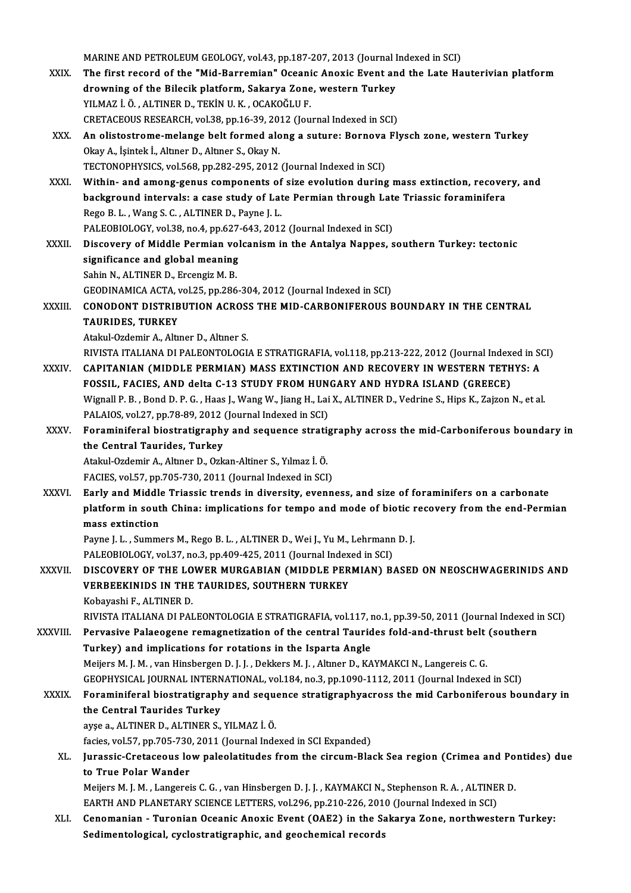MARINE AND PETROLEUM GEOLOGY, vol.43, pp.187-207, 2013 (Journal Indexed in SCI)<br>The first researd of the "Mid Perremian" Oseanis Anexis Event and the Late He

- MARINE AND PETROLEUM GEOLOGY, vol.43, pp.187-207, 2013 (Journal Indexed in SCI)<br>XXIX. The first record of the "Mid-Barremian" Oceanic Anoxic Event and the Late Hauterivian platform MARINE AND PETROLEUM GEOLOGY, vol.43, pp.187-207, 2013 (Journal I<br>The first record of the "Mid-Barremian" Oceanic Anoxic Event an<br>drowning of the Bilecik platform, Sakarya Zone, western Turkey<br>VU MAZ LÖ - ALTINER D. TEVIN The first record of the "Mid-Barremian" Oceani<br>drowning of the Bilecik platform, Sakarya Zone<br>YILMAZ İ. Ö. , ALTINER D., TEKİN U.K. , OCAKOĞLU F.<br>CRETACEOUS RESEARCH val 29. np.16.20.2012 (Jeu drowning of the Bilecik platform, Sakarya Zone, western Turkey<br>YILMAZ İ. Ö., ALTINER D., TEKİN U. K., OCAKOĞLU F.<br>CRETACEOUS RESEARCH, vol.38, pp.16-39, 2012 (Journal Indexed in SCI) YILMAZ İ. Ö. , ALTINER D., TEKİN U. K. , OCAKOĞLU F.<br>CRETACEOUS RESEARCH, vol.38, pp.16-39, 2012 (Journal Indexed in SCI)<br>XXX. An olistostrome-melange belt formed along a suture: Bornova Flysch zone, western Turkey<br>Ola
- Okay A., İşintek İ., Altıner D., Altıner S., Okay N.<br>TECTONOPHYSICS, vol.568, pp.282-295, 2012 (Journal Indexed in SCI) An olistostrome-melange belt formed along a suture: Bornova<br>Okay A., İşintek İ., Altıner D., Altıner S., Okay N.<br>TECTONOPHYSICS, vol.568, pp.282-295, 2012 (Journal Indexed in SCI)<br>Within, and among genus components of sigo

XXXI. Within- and among-genus components of size evolution during mass extinction, recovery, and TECTONOPHYSICS, vol.568, pp.282-295, 2012 (Journal Indexed in SCI)<br>Within- and among-genus components of size evolution during mass extinction, recove:<br>background intervals: a case study of Late Permian through Late Triass Within- and among-genus components of<br>background intervals: a case study of Lat<br>Rego B.L., Wang S.C., ALTINER D., Payne J. L.<br>PALEOPIOLOCY vol 39 no 4 nn 627 643 2013 background intervals: a case study of Late Permian through Lat<br>Rego B. L. , Wang S. C. , ALTINER D., Payne J. L.<br>PALEOBIOLOGY, vol.38, no.4, pp.627-643, 2012 (Journal Indexed in SCI)<br>Discovery of Middle Permian volcanism i Rego B. L. , Wang S. C. , ALTINER D., Payne J. L.<br>PALEOBIOLOGY, vol.38, no.4, pp.627-643, 2012 (Journal Indexed in SCI)<br>XXXII. Discovery of Middle Permian volcanism in the Antalya Nappes, southern Turkey: tectonic

PALEOBIOLOGY, vol.38, no.4, pp.627<br>Discovery of Middle Permian vol<br>significance and global meaning<br>Sohin N. ALTINER D. Freengiz M. B Discovery of Middle Permian vo<br>significance and global meaning<br>Sahin N., ALTINER D., Ercengiz M. B.<br>CEODINAMICA ACTA vol.25, np.296 significance and global meaning<br>Sahin N., ALTINER D., Ercengiz M. B.<br>GEODINAMICA ACTA, vol.25, pp.286-304, 2012 (Journal Indexed in SCI)<br>CONODONT DISTRIPUTION ACROSS THE MID CARRONIEEROUS E Sahin N., ALTINER D., Ercengiz M. B.<br>GEODINAMICA ACTA, vol.25, pp.286-304, 2012 (Journal Indexed in SCI)<br>XXXIII. CONODONT DISTRIBUTION ACROSS THE MID-CARBONIFEROUS BOUNDARY IN THE CENTRAL<br>TAUPIDES TURKEY

GEODINAMICA ACTA, V<br>**CONODONT DISTRIB<br>TAURIDES, TURKEY** CONODONT DISTRIBUTION ACROS<br>TAURIDES, TURKEY<br>Atakul-Ozdemir A., Altıner D., Altıner S.<br>BIVISTA ITALIANA DI BALEONTOLOCI TAURIDES, TURKEY<br>Atakul-Ozdemir A., Altıner D., Altıner S.<br>RIVISTA ITALIANA DI PALEONTOLOGIA E STRATIGRAFIA, vol.118, pp.213-222, 2012 (Journal Indexed in SCI)<br>CARITANIAN (MIDDLE RERMIAN) MASS EXTINCTION AND RECOVERY IN WE

- Atakul-Ozdemir A., Altıner D., Altıner S.<br>RIVISTA ITALIANA DI PALEONTOLOGIA E STRATIGRAFIA, vol.118, pp.213-222, 2012 (Journal Indexed in S<br>XXXIV. CAPITANIAN (MIDDLE PERMIAN) MASS EXTINCTION AND RECOVERY IN WESTERN TET RIVISTA ITALIANA DI PALEONTOLOGIA E STRATIGRAFIA, vol.118, pp.213-222, 2012 (Journal Index<br>CAPITANIAN (MIDDLE PERMIAN) MASS EXTINCTION AND RECOVERY IN WESTERN TETH<br>FOSSIL, FACIES, AND delta C-13 STUDY FROM HUNGARY AND HYDR CAPITANIAN (MIDDLE PERMIAN) MASS EXTINCTION AND RECOVERY IN WESTERN TETHYS: A<br>FOSSIL, FACIES, AND delta C-13 STUDY FROM HUNGARY AND HYDRA ISLAND (GREECE)<br>Wignall P. B. , Bond D. P. G. , Haas J., Wang W., Jiang H., Lai X., FOSSIL, FACIES, AND delta C-13 STUDY FROM HUN<br>Wignall P. B. , Bond D. P. G. , Haas J., Wang W., Jiang H., Lai<br>PALAIOS, vol.27, pp.78-89, 2012 (Journal Indexed in SCI)<br>Foraminiforal biostratisranhy and sequence stratio Wignall P. B. , Bond D. P. G. , Haas J., Wang W., Jiang H., Lai X., ALTINER D., Vedrine S., Hips K., Zajzon N., et al.<br>PALAIOS, vol.27, pp.78-89, 2012 (Journal Indexed in SCI)<br>XXXV. Foraminiferal biostratigraphy and sequen
- PALAIOS, vol.27, pp.78-89, 2012 (Journal Indexed in SCI)<br>Foraminiferal biostratigraphy and sequence stratig<br>the Central Taurides, Turkey<br>Atakul-Ozdemir A., Altıner D., Ozkan-Altiner S., Yılmaz İ. Ö. Foraminiferal biostratigraphy and sequence stratigraphy across the mid-Carboniferous boundary in

FACIES, vol.57, pp.705-730, 2011 (Journal Indexed in SCI)

Atakul-Ozdemir A., Altıner D., Ozkan-Altiner S., Yılmaz İ. Ö.<br>FACIES, vol.57, pp.705-730, 2011 (Journal Indexed in SCI)<br>XXXVI. Barly and Middle Triassic trends in diversity, evenness, and size of foraminifers on a carbonat FACIES, vol.57, pp.705-730, 2011 (Journal Indexed in SCI)<br>Early and Middle Triassic trends in diversity, evenness, and size of foraminifers on a carbonate<br>platform in south China: implications for tempo and mode of biotic Early and Middle<br>platform in sout<br>mass extinction<br><sup>Dormo L.L.</sup> Summ platform in south China: implications for tempo and mode of biotic r<br>mass extinction<br>Payne J. L. , Summers M., Rego B. L. , ALTINER D., Wei J., Yu M., Lehrmann D. J.<br>PALEOPIOLOCY vol.37, no.3, nn.409,435,3944 (Journal Indo mass extinction<br>Payne J. L. , Summers M., Rego B. L. , ALTINER D., Wei J., Yu M., Lehrmann<br>PALEOBIOLOGY, vol.37, no.3, pp.409-425, 2011 (Journal Indexed in SCI)<br>DISCOVERY OF THE LOWER MURGARIAN (MIDDLE RERMIAN) R.

XXXVII. DISCOVERY OF THE LOWER MURGABIAN (MIDDLE PERMIAN) BASED ON NEOSCHWAGERINIDS AND PALEOBIOLOGY, vol.37, no.3, pp.409-425, 2011 (Journal Indexed in SCI)<br>DISCOVERY OF THE LOWER MURGABIAN (MIDDLE PERMIAN) B<br>VERBEEKINIDS IN THE TAURIDES, SOUTHERN TURKEY<br>Kobavashi F.. ALTINER D. VERBEEKINIDS IN THE TAURIDES, SOUTHERN TURKEY

RIVISTA ITALIANA DI PALEONTOLOGIA E STRATIGRAFIA, vol.117, no.1, pp.39-50, 2011 (Journal Indexed in SCI)

Kobayashi F., ALTINER D.<br>RIVISTA ITALIANA DI PALEONTOLOGIA E STRATIGRAFIA, vol.117, no.1, pp.39-50, 2011 (Journal Indexed in XXXVIII.<br>XXXVIII. Pervasive Palaeogene remagnetization of the central Taurides fold-and-thrust be RIVISTA ITALIANA DI PALEONTOLOGIA E STRATIGRAFIA, vol.117, independent of the central Taurid<br>Turkey) and implications for rotations in the Isparta Angle<br>Mojjers M.J. M., van Hinsbergen D.J.J., Dekkers M.J., Altner D. KA Pervasive Palaeogene remagnetization of the central Taurides fold-and-thrust belt<br>Turkey) and implications for rotations in the Isparta Angle<br>Meijers M. J. M. , van Hinsbergen D. J. J. , Dekkers M. J. , Altıner D., KAYMAKC Turkey) and implications for rotations in the Isparta Angle<br>Meijers M. J. M. , van Hinsbergen D. J. J. , Dekkers M. J. , Altıner D., KAYMAKCI N., Langereis C. G.<br>GEOPHYSICAL JOURNAL INTERNATIONAL, vol.184, no.3, pp.1090-11 Meijers M. J. M. , van Hinsbergen D. J. J. , Dekkers M. J. , Altmer D., KAYMAKCI N., Langereis C. G.<br>GEOPHYSICAL JOURNAL INTERNATIONAL, vol.184, no.3, pp.1090-1112, 2011 (Journal Indexed in SCI)<br>XXXIX. Foraminiferal biostr

# GEOPHYSICAL JOURNAL INTERN<br>Foraminiferal biostratigraph<br>the Central Taurides Turkey Foraminiferal biostratigraphy and seque<br>the Central Taurides Turkey<br>ayşe a., ALTINER D., ALTINER S., YILMAZ İ. Ö.<br>fesies vel 57 nn 705 720 2011 (Journal Inde the Central Taurides Turkey<br>ayşe a., ALTINER D., ALTINER S., YILMAZ İ. Ö.<br>facies, vol.57, pp.705-730, 2011 (Journal Indexed in SCI Expanded)<br>Iurassis Cratasseus Jew paleolatitudes from the sinsum Bla

# ayse a., ALTINER D., ALTINER S., YILMAZ İ. Ö.<br>facies, vol.57, pp.705-730, 2011 (Journal Indexed in SCI Expanded)<br>XL. Jurassic-Cretaceous low paleolatitudes from the circum-Black Sea region (Crimea and Pontides) due<br>to facies, vol.57, pp.705-730<br>Jurassic-Cretaceous lo<br>to True Polar Wander<br>Majjara M.I.M., Langarai Jurassic-Cretaceous low paleolatitudes from the circum-Black Sea region (Crimea and Po<br>to True Polar Wander<br>Meijers M. J. M. , Langereis C. G. , van Hinsbergen D. J. J. , KAYMAKCI N., Stephenson R. A. , ALTINER D.<br>FARTH AN

to True Polar Wander<br>Meijers M. J. M. , Langereis C. G. , van Hinsbergen D. J. J. , KAYMAKCI N., Stephenson R. A. , ALTINER D.<br>EARTH AND PLANETARY SCIENCE LETTERS, vol.296, pp.210-226, 2010 (Journal Indexed in SCI)

XLI. Cenomanian - Turonian Oceanic Anoxic Event (OAE2) in the Sakarya Zone, northwestern Turkey: Sedimentological, cyclostratigraphic, and geochemical records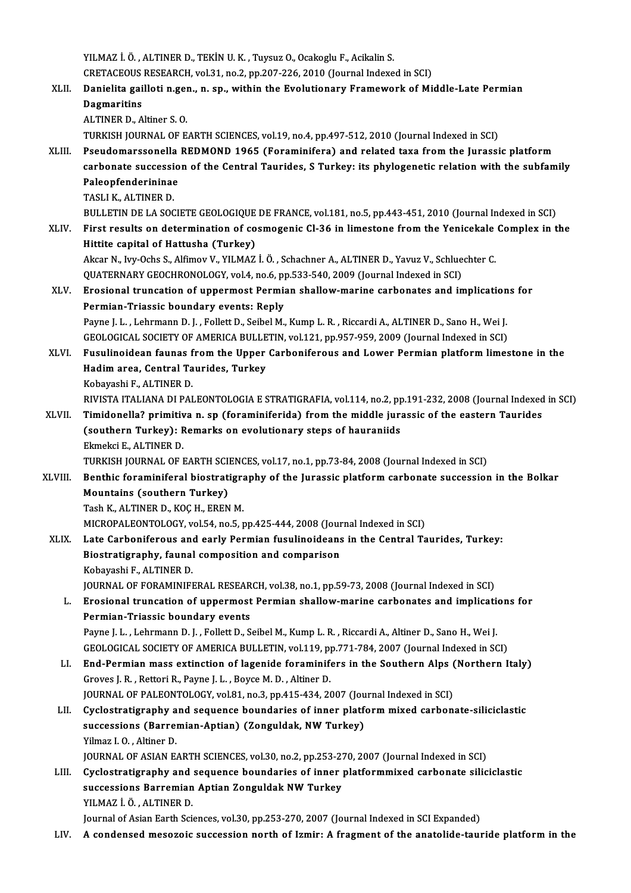YILMAZ İ. Ö., ALTINER D., TEKİN U. K., Tuysuz O., Ocakoglu F., Acikalin S. YILMAZ İ. Ö. , ALTINER D., TEKİN U. K. , Tuysuz O., Ocakoglu F., Acikalin S.<br>CRETACEOUS RESEARCH, vol.31, no.2, pp.207-226, 2010 (Journal Indexed in SCI)<br>Ponialita gaillati n son , n an , within the Evalutionary Enamework YILMAZ İ. Ö. , ALTINER D., TEKİN U. K. , Tuysuz O., Ocakoglu F., Acikalin S.<br>CRETACEOUS RESEARCH, vol.31, no.2, pp.207-226, 2010 (Journal Indexed in SCI)<br>XLII. Danielita gailloti n.gen., n. sp., within the Evolutionary Fra CRETACEOUS<br>Danielita gai<br>Dagmaritins<br>ALTINER D. A Danielita gailloti n.gel<br>Dagmaritins<br>ALTINER D., Altiner S. O.<br>TURKISH JOURNAL OF F Dagmaritins<br>ALTINER D., Altiner S. O.<br>TURKISH JOURNAL OF EARTH SCIENCES, vol.19, no.4, pp.497-512, 2010 (Journal Indexed in SCI) ALTINER D., Altiner S. O.<br>TURKISH JOURNAL OF EARTH SCIENCES, vol.19, no.4, pp.497-512, 2010 (Journal Indexed in SCI)<br>XLIII. Pseudomarssonella REDMOND 1965 (Foraminifera) and related taxa from the Jurassic platform<br>carbonat TURKISH JOURNAL OF EARTH SCIENCES, vol.19, no.4, pp.497-512, 2010 (Journal Indexed in SCI)<br>Pseudomarssonella REDMOND 1965 (Foraminifera) and related taxa from the Jurassic platform<br>carbonate succession of the Central Tauri Pseudomarssonella<br>carbonate successio<br>Paleopfenderininae<br>TASLLK ALTINER D carbonate successi<br>Paleopfenderininae<br>TASLI K., ALTINER D.<br>PULLETIN DE LA SOC Paleopfenderininae<br>TASLI K., ALTINER D.<br>BULLETIN DE LA SOCIETE GEOLOGIQUE DE FRANCE, vol.181, no.5, pp.443-451, 2010 (Journal Indexed in SCI)<br>First results on determination of sesmogenis Cl 36 in limestone from the Vonisek TASLI K., ALTINER D.<br>BULLETIN DE LA SOCIETE GEOLOGIQUE DE FRANCE, vol.181, no.5, pp.443-451, 2010 (Journal Indexed in SCI)<br>XLIV. First results on determination of cosmogenic Cl-36 in limestone from the Yenicekale Complex i BULLETIN DE LA SOCIETE GEOLOGIQUE<br>First results on determination of co<br>Hittite capital of Hattusha (Turkey) First results on determination of cosmogenic Cl-36 in limestone from the Yenicekale<br>Hittite capital of Hattusha (Turkey)<br>Akcar N., Ivy-Ochs S., Alfimov V., YILMAZ İ.Ö. , Schachner A., ALTINER D., Yavuz V., Schluechter C.<br>Q Hittite capital of Hattusha (Turkey)<br>Akcar N., Ivy-Ochs S., Alfimov V., YILMAZ İ. Ö. , Schachner A., ALTINER D., Yavuz V., Schlue<br>QUATERNARY GEOCHRONOLOGY, vol.4, no.6, pp.533-540, 2009 (Journal Indexed in SCI)<br>Enesional t XLV. Erosional truncation of uppermost Permian shallow-marine carbonates and implications for<br>Permian-Triassic boundary events: Reply QUATERNARY GEOCHRONOLOGY, vol.4, no.6, pp.533-540, 2009 (Journal Indexed in SCI) Erosional truncation of uppermost Permian shallow-marine carbonates and implication<br>Permian-Triassic boundary events: Reply<br>Payne J. L. , Lehrmann D. J. , Follett D., Seibel M., Kump L.R. , Riccardi A., ALTINER D., Sano H. Permian-Triassic boundary events: Reply<br>Payne J. L. , Lehrmann D. J. , Follett D., Seibel M., Kump L. R. , Riccardi A., ALTINER D., Sano H., Wei J.<br>GEOLOGICAL SOCIETY OF AMERICA BULLETIN, vol.121, pp.957-959, 2009 (Journal Payne J. L. , Lehrmann D. J. , Follett D., Seibel M., Kump L. R. , Riccardi A., ALTINER D., Sano H., Wei J.<br>GEOLOGICAL SOCIETY OF AMERICA BULLETIN, vol.121, pp.957-959, 2009 (Journal Indexed in SCI)<br>XLVI. Fusulinoidean fau GEOLOGICAL SOCIETY OF AMERICA BULLETIN, vol.121, pp.957-959, 2009 (Journal Indexed in SCI)<br>Fusulinoidean faunas from the Upper Carboniferous and Lower Permian platform limes<br>Hadim area, Central Taurides, Turkey<br>Kobayashi F Fusulinoidean faunas f<br>Hadim area, Central Ta<br>Kobayashi F., ALTINER D.<br>PIVISTA ITALIANA DI PAI Hadim area, Central Taurides, Turkey<br>Kobayashi F., ALTINER D.<br>RIVISTA ITALIANA DI PALEONTOLOGIA E STRATIGRAFIA, vol.114, no.2, pp.191-232, 2008 (Journal Indexed in SCI)<br>Timidonalla? primitiva n. on (foraminiforida) from th Kobayashi F., ALTINER D.<br>RIVISTA ITALIANA DI PALEONTOLOGIA E STRATIGRAFIA, vol.114, no.2, pp.191-232, 2008 (Journal Indexed<br>XLVII. Timidonella? primitiva n. sp (foraminiferida) from the middle jurassic of the eastern T RIVISTA ITALIANA DI PALEONTOLOGIA E STRATIGRAFIA, vol.114, no.2, pp<br>Timidonella? primitiva n. sp (foraminiferida) from the middle jura<br>(southern Turkey): Remarks on evolutionary steps of hauraniids<br>Flmeksi E. ALTINER D Timidonella? primitiva n. sp (foraminiferida) from the middle jurassic of the eastern Taurides (southern Turkey): Remarks on evolutionary steps of hauraniids<br>Ekmekci E., ALTINER D. TURKISH JOURNAL OF EARTH SCIENCES, vol.17, no.1, pp.73-84, 2008 (Journal Indexed in SCI) Ekmekci E., ALTINER D.<br>TURKISH JOURNAL OF EARTH SCIENCES, vol.17, no.1, pp.73-84, 2008 (Journal Indexed in SCI)<br>XLVIII. Benthic foraminiferal biostratigraphy of the Jurassic platform carbonate succession in the Bolkar<br>Moun Mountains (southern Turkey)<br>Tash K., ALTINER D., KOC H., EREN M. Benthic foraminiferal biostratigra<br>Mountains (southern Turkey)<br>Tash K., ALTINER D., KOÇ H., EREN M.<br>MICPOPALEONTOLOCY vol 54 no 5 x MICROPALEONTOLOGY, vol.54, no.5, pp.425-444, 2008 (Journal Indexed in SCI) Tash K., ALTINER D., KOÇ H., EREN M.<br>MICROPALEONTOLOGY, vol.54, no.5, pp.425-444, 2008 (Journal Indexed in SCI)<br>XLIX. Late Carboniferous and early Permian fusulinoideans in the Central Taurides, Turkey:<br>Piestratisranhy, fo MICROPALEONTOLOGY, vol.54, no.5, pp.425-444, 2008 (Jour<br>Late Carboniferous and early Permian fusulinoideans<br>Biostratigraphy, faunal composition and comparison<br>Kobayashi E. ALTINER D Late Carboniferous an<br>Biostratigraphy, faunal<br>Kobayashi F., ALTINER D.<br>JOUPMAL OF FORAMINIEI Biostratigraphy, faunal composition and comparison<br>Kobayashi F., ALTINER D.<br>JOURNAL OF FORAMINIFERAL RESEARCH, vol.38, no.1, pp.59-73, 2008 (Journal Indexed in SCI)<br>Encsional truncation of unnormost Bormian shallow marine Kobayashi F., ALTINER D.<br>JOURNAL OF FORAMINIFERAL RESEARCH, vol.38, no.1, pp.59-73, 2008 (Journal Indexed in SCI)<br>L. Erosional truncation of uppermost Permian shallow-marine carbonates and implications for<br>Permian-Triassic **JOURNAL OF FORAMINIFERAL RESEAR<br>Erosional truncation of uppermost<br>Permian-Triassic boundary events**<br>Payne L.L. Lebrmann D.L. Follett D. S Erosional truncation of uppermost Permian shallow-marine carbonates and implication<br>Permian-Triassic boundary events<br>Payne J. L. , Lehrmann D. J. , Follett D., Seibel M., Kump L. R. , Riccardi A., Altiner D., Sano H., Wei Permian-Triassic boundary events<br>Payne J. L. , Lehrmann D. J. , Follett D., Seibel M., Kump L. R. , Riccardi A., Altiner D., Sano H., Wei J.<br>GEOLOGICAL SOCIETY OF AMERICA BULLETIN, vol.119, pp.771-784, 2007 (Journal Indexe LI. End-Permian mass extinction of lagenide foraminifers in the Southern Alps (Northern Italy)<br>Groves J. R., Rettori R., Payne J. L., Boyce M. D., Altiner D. GEOLOGICAL SOCIETY OF AMERICA BULLETIN, vol.119, pp.771-784, 2007 (Journal Indexed in SCI) End-Permian mass extinction of lagenide foraminifers in the Southern Alps (<br>Groves J. R. , Rettori R., Payne J. L. , Boyce M. D. , Altiner D.<br>JOURNAL OF PALEONTOLOGY, vol.81, no.3, pp.415-434, 2007 (Journal Indexed in SCI) Groves J. R. , Rettori R., Payne J. L. , Boyce M. D. , Altiner D.<br>JOURNAL OF PALEONTOLOGY, vol.81, no.3, pp.415-434, 2007 (Journal Indexed in SCI)<br>LII. Cyclostratigraphy and sequence boundaries of inner platform mixed carb JOURNAL OF PALEONTOLOGY, vol.81, no.3, pp.415-434, 2007 (Jou<br>Cyclostratigraphy and sequence boundaries of inner platf<br>successions (Barremian-Aptian) (Zonguldak, NW Turkey)<br><sup>Vilmog L</sup>.O., Altinor D. Cyclostratigraphy a<br>successions (Barrel<br>Yilmaz I.O., Altiner D.<br>JOUPNAL OF ASIAN E. successions (Barremian-Aptian) (Zonguldak, NW Turkey)<br>1997 - Yilmaz I. O. , Altiner D.<br>JOURNAL OF ASIAN EARTH SCIENCES, vol.30, no.2, pp.253-270, 2007 (Journal Indexed in SCI) LIII. Cyclostratigraphy and sequence boundaries of inner platformmixed carbonate siliciclastic JOURNAL OF ASIAN EARTH SCIENCES, vol.30, no.2, pp.253-2?<br>Cyclostratigraphy and sequence boundaries of inner<br>successions Barremian Aptian Zonguldak NW Turkey<br>VU MAZ İ Ö - ALTINER D Cyclostratigraphy and<br>successions Barremian<br>YILMAZ İ.Ö., ALTINER D.<br>Journal of Asian Farth Sai YILMAZ İ. Ö. , ALTINER D.<br>Journal of Asian Earth Sciences, vol.30, pp.253-270, 2007 (Journal Indexed in SCI Expanded) LIV. A condensed mesozoic succession north of Izmir: A fragment of the anatolide-tauride platform in the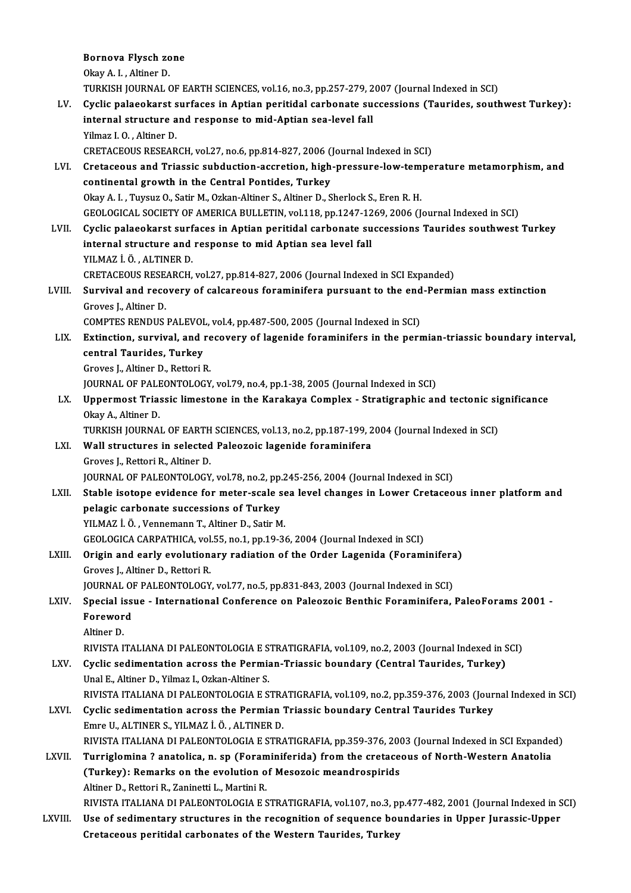|         | Bornova Flysch zone                                                                                        |
|---------|------------------------------------------------------------------------------------------------------------|
|         | Okay A I, Altiner D.                                                                                       |
|         | TURKISH JOURNAL OF EARTH SCIENCES, vol.16, no.3, pp.257-279, 2007 (Journal Indexed in SCI)                 |
| LV.     | Cyclic palaeokarst surfaces in Aptian peritidal carbonate successions (Taurides, southwest Turkey):        |
|         | internal structure and response to mid-Aptian sea-level fall                                               |
|         | Yilmaz I.O., Altiner D.                                                                                    |
|         | CRETACEOUS RESEARCH, vol.27, no.6, pp.814-827, 2006 (Journal Indexed in SCI)                               |
| LVI.    | Cretaceous and Triassic subduction-accretion, high-pressure-low-temperature metamorphism, and              |
|         | continental growth in the Central Pontides, Turkey                                                         |
|         | Okay A. I., Tuysuz O., Satir M., Ozkan-Altiner S., Altiner D., Sherlock S., Eren R. H.                     |
|         | GEOLOGICAL SOCIETY OF AMERICA BULLETIN, vol.118, pp.1247-1269, 2006 (Journal Indexed in SCI)               |
| LVII.   | Cyclic palaeokarst surfaces in Aptian peritidal carbonate successions Taurides southwest Turkey            |
|         | internal structure and response to mid Aptian sea level fall                                               |
|         | YILMAZ İ Ö , ALTINER D.                                                                                    |
|         | CRETACEOUS RESEARCH, vol.27, pp.814-827, 2006 (Journal Indexed in SCI Expanded)                            |
| LVIII.  | Survival and recovery of calcareous foraminifera pursuant to the end-Permian mass extinction               |
|         | Groves J., Altiner D.                                                                                      |
|         | COMPTES RENDUS PALEVOL, vol.4, pp.487-500, 2005 (Journal Indexed in SCI)                                   |
| LIX.    |                                                                                                            |
|         | Extinction, survival, and recovery of lagenide foraminifers in the permian-triassic boundary interval,     |
|         | central Taurides, Turkey                                                                                   |
|         | Groves J., Altiner D., Rettori R.                                                                          |
|         | JOURNAL OF PALEONTOLOGY, vol.79, no.4, pp.1-38, 2005 (Journal Indexed in SCI)                              |
| LX.     | Uppermost Triassic limestone in the Karakaya Complex - Stratigraphic and tectonic significance             |
|         | Okay A., Altiner D.                                                                                        |
|         | TURKISH JOURNAL OF EARTH SCIENCES, vol.13, no.2, pp.187-199, 2004 (Journal Indexed in SCI)                 |
| LXI.    | Wall structures in selected Paleozoic lagenide foraminifera                                                |
|         | Groves J., Rettori R., Altiner D.                                                                          |
|         | JOURNAL OF PALEONTOLOGY, vol.78, no.2, pp.245-256, 2004 (Journal Indexed in SCI)                           |
| LXII.   | Stable isotope evidence for meter-scale sea level changes in Lower Cretaceous inner platform and           |
|         | pelagic carbonate successions of Turkey                                                                    |
|         | YILMAZ İ. Ö., Vennemann T., Altiner D., Satir M.                                                           |
|         | GEOLOGICA CARPATHICA, vol.55, no.1, pp.19-36, 2004 (Journal Indexed in SCI)                                |
| LXIII.  | Origin and early evolutionary radiation of the Order Lagenida (Foraminifera)                               |
|         | Groves J., Altiner D., Rettori R.                                                                          |
|         | JOURNAL OF PALEONTOLOGY, vol.77, no.5, pp.831-843, 2003 (Journal Indexed in SCI)                           |
| LXIV.   | Special issue - International Conference on Paleozoic Benthic Foraminifera, PaleoForams 2001 -             |
|         | Foreword                                                                                                   |
|         | Altiner D.                                                                                                 |
|         | RIVISTA ITALIANA DI PALEONTOLOGIA E STRATIGRAFIA, vol.109, no.2, 2003 (Journal Indexed in SCI)             |
| LXV.    | Cyclic sedimentation across the Permian-Triassic boundary (Central Taurides, Turkey)                       |
|         | Unal E., Altiner D., Yilmaz I., Ozkan-Altiner S.                                                           |
|         | RIVISTA ITALIANA DI PALEONTOLOGIA E STRATIGRAFIA, vol.109, no.2, pp.359-376, 2003 (Journal Indexed in SCI) |
| LXVI.   | Cyclic sedimentation across the Permian Triassic boundary Central Taurides Turkey                          |
|         | Emre U., ALTINER S., YILMAZ İ Ö., ALTINER D.                                                               |
|         | RIVISTA ITALIANA DI PALEONTOLOGIA E STRATIGRAFIA, pp.359-376, 2003 (Journal Indexed in SCI Expanded)       |
| LXVII.  | Turriglomina ? anatolica, n. sp (Foraminiferida) from the cretaceous of North-Western Anatolia             |
|         | (Turkey): Remarks on the evolution of Mesozoic meandrospirids                                              |
|         | Altiner D., Rettori R., Zaninetti L., Martini R.                                                           |
|         | RIVISTA ITALIANA DI PALEONTOLOGIA E STRATIGRAFIA, vol.107, no.3, pp.477-482, 2001 (Journal Indexed in SCI) |
| LXVIII. | Use of sedimentary structures in the recognition of sequence boundaries in Upper Jurassic-Upper            |
|         | Cretaceous peritidal carbonates of the Western Taurides, Turkey                                            |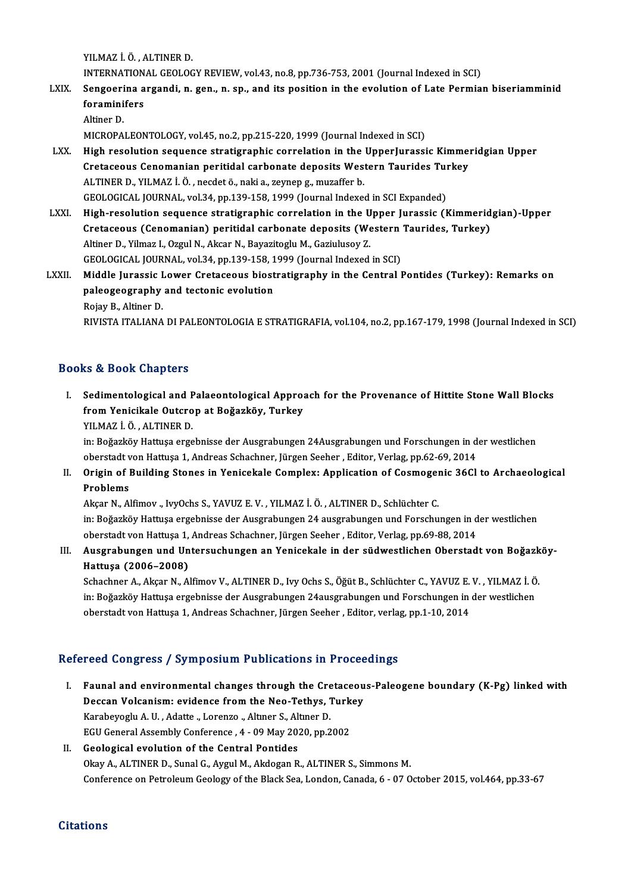YILMAZ İ.Ö. ,ALTINERD.

YILMAZ İ. Ö. , ALTINER D.<br>INTERNATIONAL GEOLOGY REVIEW, vol.43, no.8, pp.736-753, 2001 (Journal Indexed in SCI)<br>Senggenine avgandi, n. gen., n. en., and its position in the evolution of Late Bermie

- YILMAZ İ. Ö. , ALTINER D.<br>INTERNATIONAL GEOLOGY REVIEW, vol.43, no.8, pp.736-753, 2001 (Journal Indexed in SCI)<br>LXIX. Sengoerina argandi, n. gen., n. sp., and its position in the evolution of Late Permian biseriamminid INTERNATION<br>Sengoerina a<br>foraminifers<br>Altinon D Sengoerina argandi, n. gen., n. sp., and its position in the evolution of Late Permian biseriamminid<br>foraminifers<br>Altiner D.
	-

MICROPALEONTOLOGY, vol.45, no.2, pp.215-220, 1999 (Journal Indexed in SCI)

- Altiner D.<br>MICROPALEONTOLOGY, vol.45, no.2, pp.215-220, 1999 (Journal Indexed in SCI)<br>LXX. High resolution sequence stratigraphic correlation in the UpperJurassic Kimmeridgian Upper<br>Cratagoous Conomanian poritidal carb MICROPALEONTOLOGY, vol.45, no.2, pp.215-220, 1999 (Journal Indexed in SCI)<br>High resolution sequence stratigraphic correlation in the UpperJurassic Kimme:<br>Cretaceous Cenomanian peritidal carbonate deposits Western Taurides High resolution sequence stratigraphic correlation in the<br>Cretaceous Cenomanian peritidal carbonate deposits Wes<br>ALTINER D., YILMAZ İ.Ö., necdet ö., naki a., zeynep g., muzaffer b.<br>CEOLOCICAL JOUPNAL vol 34 np 139, 159, 19 Cretaceous Cenomanian peritidal carbonate deposits Western Taurides Turkey<br>ALTINER D., YILMAZ İ. Ö. , necdet ö., naki a., zeynep g., muzaffer b.<br>GEOLOGICAL JOURNAL, vol.34, pp.139-158, 1999 (Journal Indexed in SCI Expanded ALTINER D., YILMAZ İ. Ö. , necdet ö., naki a., zeynep g., muzaffer b.<br>GEOLOGICAL JOURNAL, vol.34, pp.139-158, 1999 (Journal Indexed in SCI Expanded)<br>LXXI. High-resolution sequence stratigraphic correlation in the Upper Jur
- GEOLOGICAL JOURNAL, vol.34, pp.139-158, 1999 (Journal Indexed in SCI Expanded)<br>High-resolution sequence stratigraphic correlation in the Upper Jurassic (Kimmerid<br>Cretaceous (Cenomanian) peritidal carbonate deposits (Wester Cretaceous (Cenomanian) peritidal carbonate deposits (Western Taurides, Turkey)<br>Altiner D., Yilmaz I., Ozgul N., Akcar N., Bayazitoglu M., Gaziulusoy Z. Cretaceous (Cenomanian) peritidal carbonate deposits (Western<br>Altiner D., Yilmaz I., Ozgul N., Akcar N., Bayazitoglu M., Gaziulusoy Z.<br>GEOLOGICAL JOURNAL, vol.34, pp.139-158, 1999 (Journal Indexed in SCI)<br>Middle Lunessis L Altiner D., Yilmaz I., Ozgul N., Akcar N., Bayazitoglu M., Gaziulusoy Z.<br>GEOLOGICAL JOURNAL, vol.34, pp.139-158, 1999 (Journal Indexed in SCI)<br>LXXII. Middle Jurassic Lower Cretaceous biostratigraphy in the Central Pontides
- GEOLOGICAL JOURNAL, vol.34, pp.139-158, 1<br>Middle Jurassic Lower Cretaceous biost<br>paleogeography and tectonic evolution<br>Poisy P. Altiner D. Middle Jurassic I<br>paleogeography<br>Rojay B., Altiner D.<br>PIVISTA ITALIANA paleogeography and tectonic evolution<br>Rojay B., Altiner D.<br>RIVISTA ITALIANA DI PALEONTOLOGIA E STRATIGRAFIA, vol.104, no.2, pp.167-179, 1998 (Journal Indexed in SCI)

### Books&Book Chapters

- I. Sedimentological and Palaeontological Approach for the Provenance of Hittite StoneWal Blocks from Yenichale Outcrop<br>Sedimentological and Palaeontological Approa<br>from Yenicikale Outcrop at Boğazköy, Turkey<br>VU MAZİÖ ALTINER D Sedimentological and F<br>from Yenicikale Outcro<br>YILMAZ İ. Ö. , ALTINER D.<br>in: Beğerköv Hattuce erge
	-

YILMAZ İ. Ö. , ALTINER D.<br>in: Boğazköy Hattuşa ergebnisse der Ausgrabungen 24Ausgrabungen und Forschungen in der westlichen YILMAZ İ. Ö. , ALTINER D.<br>in: Boğazköy Hattuşa ergebnisse der Ausgrabungen 24Ausgrabungen und Forschungen in d<br>oberstadt von Hattuşa 1, Andreas Schachner, Jürgen Seeher , Editor, Verlag, pp.62-69, 2014<br>Origin of Building S

II. Origin of Building Stones in Yenicekale Complex: Application of Cosmogenic 36Cl to Archaeological<br>Problems oberstadt v<br>Origin of l<br>Problems<br>Akeer N Al

Akçar N., Alfimov ., IvyOchs S., YAVUZ E. V., YILMAZ İ. Ö., ALTINER D., Schlüchter C. Problems<br>Akçar N., Alfimov ., IvyOchs S., YAVUZ E. V. , YILMAZ İ. Ö. , ALTINER D., Schlüchter C.<br>in: Boğazköy Hattuşa ergebnisse der Ausgrabungen 24 ausgrabungen und Forschungen in der westlichen<br>eberstedt von Hattusa 1. A Akçar N., Alfimov ., IvyOchs S., YAVUZ E. V. , YILMAZ İ. Ö. , ALTINER D., Schlüchter C.<br>in: Boğazköy Hattuşa ergebnisse der Ausgrabungen 24 ausgrabungen und Forschungen in d<br>oberstadt von Hattuşa 1, Andreas Schachner, Jürg in: Boğazköy Hattuşa ergebnisse der Ausgrabungen 24 ausgrabungen und Forschungen in der westlichen<br>oberstadt von Hattuşa 1, Andreas Schachner, Jürgen Seeher , Editor, Verlag, pp.69-88, 2014<br>III. Ausgrabungen und Untersuchu

oberstadt von Hattuşa 1,<br>Ausgrabungen und Un<br>Hattuşa (2006–2008)<br>Schachnor A, Aksan N, A Ausgrabungen und Untersuchungen an Yenicekale in der südwestlichen Oberstadt von Boğazk<br>Hattuşa (2006–2008)<br>Schachner A., Akçar N., Alfimov V., ALTINER D., Ivy Ochs S., Öğüt B., Schlüchter C., YAVUZ E. V. , YILMAZ İ. Ö<br>in:

Hattuşa (2006–2008)<br>Schachner A., Akçar N., Alfimov V., ALTINER D., Ivy Ochs S., Öğüt B., Schlüchter C., YAVUZ E. V. , YILMAZ İ. Ö<br>in: Boğazköy Hattuşa ergebnisse der Ausgrabungen 24ausgrabungen und Forschungen in der west Schachner A., Akçar N., Alfimov V., ALTINER D., Ivy Ochs S., Öğüt B., Schlüchter C., YAVUZ E.<br>in: Boğazköy Hattuşa ergebnisse der Ausgrabungen 24ausgrabungen und Forschungen in<br>oberstadt von Hattuşa 1, Andreas Schachner, J oberstadt von Hattuşa 1, Andreas Schachner, Jürgen Seeher , Editor, verlag, pp.1-10, 2014<br>Refereed Congress / Symposium Publications in Proceedings

- efereed Congress / Symposium Publications in Proceedings<br>I. Faunal and environmental changes through the Cretaceous-Paleogene boundary (K-Pg) linked with<br>Dessen Velenzism: evidence from the Nee Tethys Turkey Pear Congress) by inpodemn't abheations in Trocode<br>Faunal and environmental changes through the Cretaceou<br>Deccan Volcanism: evidence from the Neo-Tethys, Turkey Faunal and environmental changes through the Cre<br>Deccan Volcanism: evidence from the Neo-Tethys, 1<br>Karabeyoglu A.U., Adatte ., Lorenzo ., Altıner S., Altıner D. Deccan Volcanism: evidence from the Neo-Tethys, Turkey<br>Karabeyoglu A. U., Adatte "Lorenzo "Altıner S., Altıner D.<br>EGU General Assembly Conference, 4 - 09 May 2020, pp.2002
- II. Geological evolution of the Central Pontides Okay A., ALTINER D., Sunal G., Aygul M., Akdogan R., ALTINER S., Simmons M. Conference on Petroleum Geology of the Black Sea, London, Canada, 6 - 07 October 2015, vol.464, pp.33-67